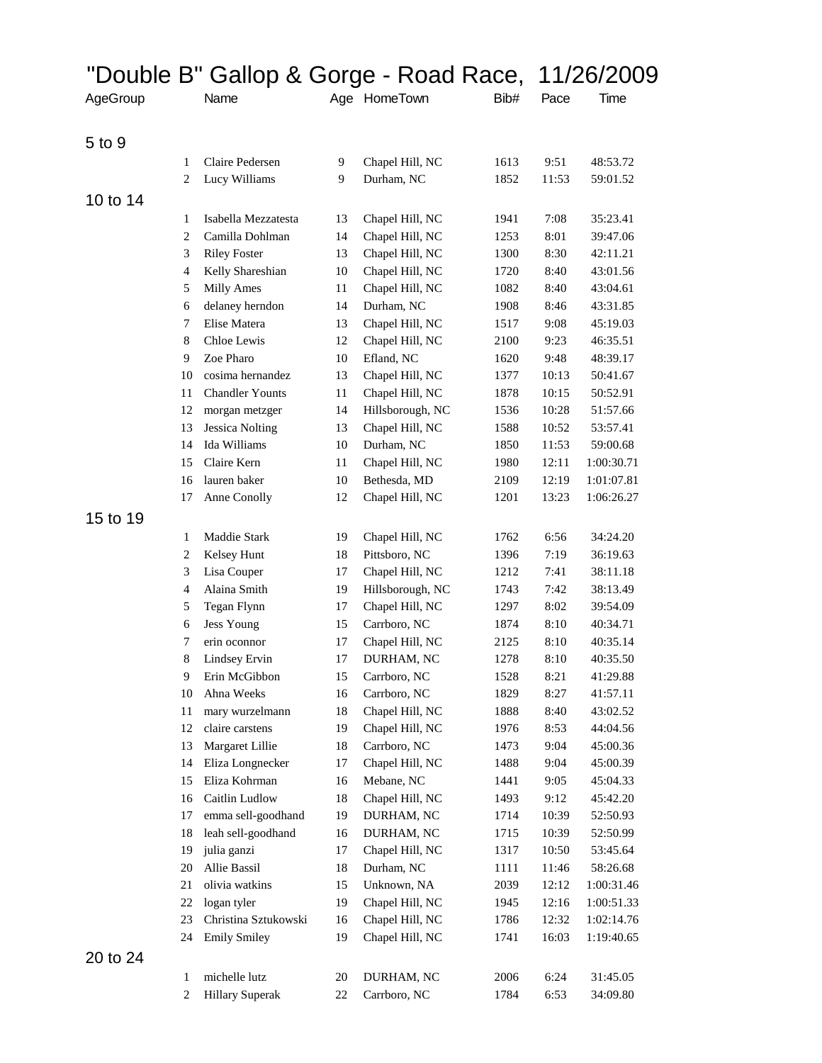|          |                | "Double B" Gallop & Gorge - Road Race, |        |                  |      |       | 11/26/2009 |
|----------|----------------|----------------------------------------|--------|------------------|------|-------|------------|
| AgeGroup |                | Name                                   |        | Age HomeTown     | Bib# | Pace  | Time       |
|          |                |                                        |        |                  |      |       |            |
| 5 to 9   |                |                                        |        |                  |      |       |            |
|          | 1              | Claire Pedersen                        | 9      | Chapel Hill, NC  | 1613 | 9:51  | 48:53.72   |
|          | 2              | Lucy Williams                          | 9      | Durham, NC       | 1852 | 11:53 | 59:01.52   |
| 10 to 14 |                |                                        |        |                  |      |       |            |
|          | 1              | Isabella Mezzatesta                    | 13     | Chapel Hill, NC  | 1941 | 7:08  | 35:23.41   |
|          | $\overline{2}$ | Camilla Dohlman                        | 14     | Chapel Hill, NC  | 1253 | 8:01  | 39:47.06   |
|          | 3              | <b>Riley Foster</b>                    | 13     | Chapel Hill, NC  | 1300 | 8:30  | 42:11.21   |
|          | 4              | Kelly Shareshian                       | 10     | Chapel Hill, NC  | 1720 | 8:40  | 43:01.56   |
|          | 5              | Milly Ames                             | 11     | Chapel Hill, NC  | 1082 | 8:40  | 43:04.61   |
|          | 6              | delaney herndon                        | 14     | Durham, NC       | 1908 | 8:46  | 43:31.85   |
|          | 7              | Elise Matera                           | 13     | Chapel Hill, NC  | 1517 | 9:08  | 45:19.03   |
|          | 8              | Chloe Lewis                            | 12     | Chapel Hill, NC  | 2100 | 9:23  | 46:35.51   |
|          | 9              | Zoe Pharo                              | $10\,$ | Efland, NC       | 1620 | 9:48  | 48:39.17   |
|          | 10             | cosima hernandez                       | 13     | Chapel Hill, NC  | 1377 | 10:13 | 50:41.67   |
|          | 11             | <b>Chandler Younts</b>                 | 11     | Chapel Hill, NC  | 1878 | 10:15 | 50:52.91   |
|          | 12             | morgan metzger                         | 14     | Hillsborough, NC | 1536 | 10:28 | 51:57.66   |
|          | 13             | <b>Jessica Nolting</b>                 | 13     | Chapel Hill, NC  | 1588 | 10:52 | 53:57.41   |
|          | 14             | Ida Williams                           | 10     | Durham, NC       | 1850 | 11:53 | 59:00.68   |
|          | 15             | Claire Kern                            | 11     | Chapel Hill, NC  | 1980 | 12:11 | 1:00:30.71 |
|          | 16             | lauren baker                           | 10     | Bethesda, MD     | 2109 | 12:19 | 1:01:07.81 |
|          | 17             | Anne Conolly                           | 12     | Chapel Hill, NC  | 1201 | 13:23 | 1:06:26.27 |
| 15 to 19 |                |                                        |        |                  |      |       |            |
|          | 1              | Maddie Stark                           | 19     | Chapel Hill, NC  | 1762 | 6:56  | 34:24.20   |
|          | 2              | Kelsey Hunt                            | 18     | Pittsboro, NC    | 1396 | 7:19  | 36:19.63   |
|          | 3              | Lisa Couper                            | 17     | Chapel Hill, NC  | 1212 | 7:41  | 38:11.18   |
|          | $\overline{4}$ | Alaina Smith                           | 19     | Hillsborough, NC | 1743 | 7:42  | 38:13.49   |
|          | 5              | Tegan Flynn                            | 17     | Chapel Hill, NC  | 1297 | 8:02  | 39:54.09   |
|          | 6              | <b>Jess Young</b>                      | 15     | Carrboro, NC     | 1874 | 8:10  | 40:34.71   |
|          | 7              | erin oconnor                           | 17     | Chapel Hill, NC  | 2125 | 8:10  | 40:35.14   |
|          | 8              | Lindsey Ervin                          | 17     | DURHAM, NC       | 1278 | 8:10  | 40:35.50   |
|          | 9              | Erin McGibbon                          | 15     | Carrboro, NC     | 1528 | 8:21  | 41:29.88   |
|          | 10             | Ahna Weeks                             | 16     | Carrboro, NC     | 1829 | 8:27  | 41:57.11   |
|          | 11             | mary wurzelmann                        | 18     | Chapel Hill, NC  | 1888 | 8:40  | 43:02.52   |
|          | 12             | claire carstens                        | 19     | Chapel Hill, NC  | 1976 | 8:53  | 44:04.56   |
|          | 13             | Margaret Lillie                        | 18     | Carrboro, NC     | 1473 | 9:04  | 45:00.36   |
|          | 14             | Eliza Longnecker                       | 17     | Chapel Hill, NC  | 1488 | 9:04  | 45:00.39   |
|          | 15             | Eliza Kohrman                          | 16     | Mebane, NC       | 1441 | 9:05  | 45:04.33   |
|          | 16             | Caitlin Ludlow                         | 18     | Chapel Hill, NC  | 1493 | 9:12  | 45:42.20   |
|          | 17             | emma sell-goodhand                     | 19     | DURHAM, NC       | 1714 | 10:39 | 52:50.93   |
|          | 18             | leah sell-goodhand                     | 16     | DURHAM, NC       | 1715 | 10:39 | 52:50.99   |
|          | 19             | julia ganzi                            | 17     | Chapel Hill, NC  | 1317 | 10:50 | 53:45.64   |
|          | 20             | Allie Bassil                           | 18     | Durham, NC       | 1111 | 11:46 | 58:26.68   |
|          | 21             | olivia watkins                         | 15     | Unknown, NA      | 2039 | 12:12 | 1:00:31.46 |
|          | 22             | logan tyler                            | 19     | Chapel Hill, NC  | 1945 | 12:16 | 1:00:51.33 |
|          | 23             | Christina Sztukowski                   | 16     | Chapel Hill, NC  | 1786 | 12:32 | 1:02:14.76 |
|          | 24             | <b>Emily Smiley</b>                    | 19     | Chapel Hill, NC  | 1741 | 16:03 | 1:19:40.65 |
| 20 to 24 |                |                                        |        |                  |      |       |            |
|          | 1              | michelle lutz                          | 20     | DURHAM, NC       | 2006 | 6:24  | 31:45.05   |
|          | $\overline{2}$ | <b>Hillary Superak</b>                 | $22\,$ | Carrboro, NC     | 1784 | 6:53  | 34:09.80   |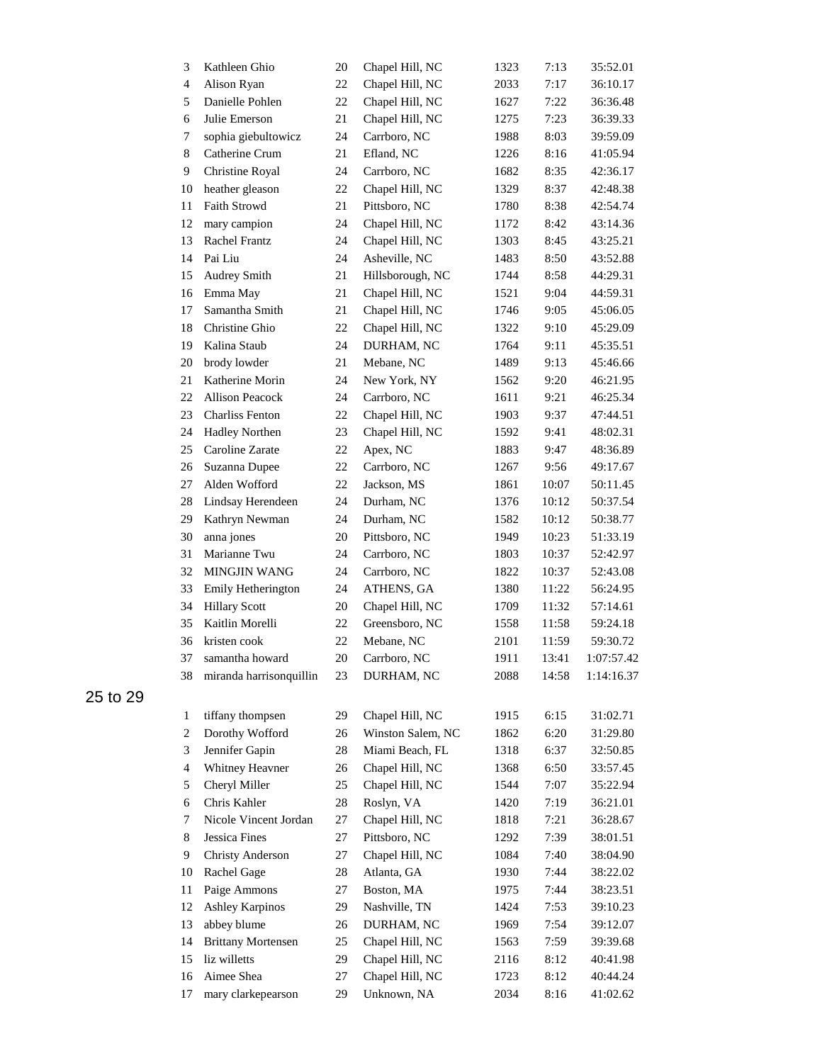| 3              | Kathleen Ghio             | 20     | Chapel Hill, NC   | 1323 | 7:13  | 35:52.01   |
|----------------|---------------------------|--------|-------------------|------|-------|------------|
| $\overline{4}$ | Alison Ryan               | 22     | Chapel Hill, NC   | 2033 | 7:17  | 36:10.17   |
| 5              | Danielle Pohlen           | 22     | Chapel Hill, NC   | 1627 | 7:22  | 36:36.48   |
| 6              | Julie Emerson             | 21     | Chapel Hill, NC   | 1275 | 7:23  | 36:39.33   |
| 7              | sophia giebultowicz       | 24     | Carrboro, NC      | 1988 | 8:03  | 39:59.09   |
| $\,8\,$        | Catherine Crum            | 21     | Efland, NC        | 1226 | 8:16  | 41:05.94   |
| 9              | Christine Royal           | 24     | Carrboro, NC      | 1682 | 8:35  | 42:36.17   |
| 10             | heather gleason           | 22     | Chapel Hill, NC   | 1329 | 8:37  | 42:48.38   |
| 11             | <b>Faith Strowd</b>       | 21     | Pittsboro, NC     | 1780 | 8:38  | 42:54.74   |
| 12             | mary campion              | 24     | Chapel Hill, NC   | 1172 | 8:42  | 43:14.36   |
| 13             | Rachel Frantz             | 24     | Chapel Hill, NC   | 1303 | 8:45  | 43:25.21   |
| 14             | Pai Liu                   | 24     | Asheville, NC     | 1483 | 8:50  | 43:52.88   |
| 15             | Audrey Smith              | 21     | Hillsborough, NC  | 1744 | 8:58  | 44:29.31   |
| 16             | Emma May                  | $21\,$ | Chapel Hill, NC   | 1521 | 9:04  | 44:59.31   |
| 17             | Samantha Smith            | 21     | Chapel Hill, NC   | 1746 | 9:05  | 45:06.05   |
| 18             | Christine Ghio            | 22     | Chapel Hill, NC   | 1322 | 9:10  | 45:29.09   |
| 19             | Kalina Staub              | 24     | DURHAM, NC        | 1764 | 9:11  | 45:35.51   |
| 20             | brody lowder              | 21     | Mebane, NC        | 1489 | 9:13  | 45:46.66   |
| 21             | Katherine Morin           | 24     | New York, NY      | 1562 | 9:20  | 46:21.95   |
| 22             | <b>Allison Peacock</b>    | 24     | Carrboro, NC      | 1611 | 9:21  | 46:25.34   |
| 23             | <b>Charliss Fenton</b>    | 22     | Chapel Hill, NC   | 1903 | 9:37  | 47:44.51   |
| 24             | <b>Hadley Northen</b>     | 23     | Chapel Hill, NC   | 1592 | 9:41  | 48:02.31   |
| 25             | Caroline Zarate           | 22     | Apex, NC          | 1883 | 9:47  | 48:36.89   |
| 26             | Suzanna Dupee             | 22     | Carrboro, NC      | 1267 | 9:56  | 49:17.67   |
| 27             | Alden Wofford             | 22     | Jackson, MS       | 1861 | 10:07 | 50:11.45   |
| 28             | Lindsay Herendeen         | 24     | Durham, NC        | 1376 | 10:12 | 50:37.54   |
| 29             | Kathryn Newman            | 24     | Durham, NC        | 1582 | 10:12 | 50:38.77   |
| 30             | anna jones                | 20     | Pittsboro, NC     | 1949 | 10:23 | 51:33.19   |
| 31             | Marianne Twu              | 24     | Carrboro, NC      | 1803 | 10:37 | 52:42.97   |
| 32             | <b>MINGJIN WANG</b>       | 24     | Carrboro, NC      | 1822 | 10:37 | 52:43.08   |
| 33             | Emily Hetherington        | 24     | ATHENS, GA        | 1380 | 11:22 | 56:24.95   |
| 34             | <b>Hillary Scott</b>      | 20     | Chapel Hill, NC   | 1709 | 11:32 | 57:14.61   |
| 35             | Kaitlin Morelli           | 22     | Greensboro, NC    | 1558 | 11:58 | 59:24.18   |
| 36             | kristen cook              | 22     | Mebane, NC        | 2101 | 11:59 | 59:30.72   |
| 37             | samantha howard           | 20     | Carrboro, NC      | 1911 | 13:41 | 1:07:57.42 |
| 38             | miranda harrisonquillin   | 23     | DURHAM, NC        | 2088 | 14:58 | 1:14:16.37 |
| $\mathbf{1}$   | tiffany thompsen          | 29     | Chapel Hill, NC   | 1915 | 6:15  | 31:02.71   |
| $\overline{c}$ | Dorothy Wofford           | 26     | Winston Salem, NC | 1862 | 6:20  | 31:29.80   |
| 3              | Jennifer Gapin            | 28     | Miami Beach, FL   | 1318 | 6:37  | 32:50.85   |
| $\overline{4}$ | Whitney Heavner           | 26     | Chapel Hill, NC   | 1368 | 6:50  | 33:57.45   |
| 5              | Cheryl Miller             | 25     | Chapel Hill, NC   | 1544 | 7:07  | 35:22.94   |
| 6              | Chris Kahler              | 28     | Roslyn, VA        | 1420 | 7:19  | 36:21.01   |
| 7              | Nicole Vincent Jordan     | 27     | Chapel Hill, NC   | 1818 | 7:21  | 36:28.67   |
| 8              | <b>Jessica Fines</b>      | 27     | Pittsboro, NC     | 1292 | 7:39  | 38:01.51   |
| 9              | <b>Christy Anderson</b>   | 27     | Chapel Hill, NC   | 1084 | 7:40  | 38:04.90   |
| 10             | Rachel Gage               | 28     | Atlanta, GA       | 1930 | 7:44  | 38:22.02   |
| 11             | Paige Ammons              | 27     | Boston, MA        | 1975 | 7:44  | 38:23.51   |
| 12             | <b>Ashley Karpinos</b>    | 29     | Nashville, TN     | 1424 | 7:53  | 39:10.23   |
| 13             | abbey blume               | 26     | DURHAM, NC        | 1969 | 7:54  | 39:12.07   |
| 14             | <b>Brittany Mortensen</b> | 25     | Chapel Hill, NC   | 1563 | 7:59  | 39:39.68   |
| 15             | liz willetts              | 29     | Chapel Hill, NC   | 2116 | 8:12  | 40:41.98   |
| 16             | Aimee Shea                | 27     | Chapel Hill, NC   | 1723 | 8:12  | 40:44.24   |
| 17             | mary clarkepearson        | 29     | Unknown, NA       | 2034 | 8:16  | 41:02.62   |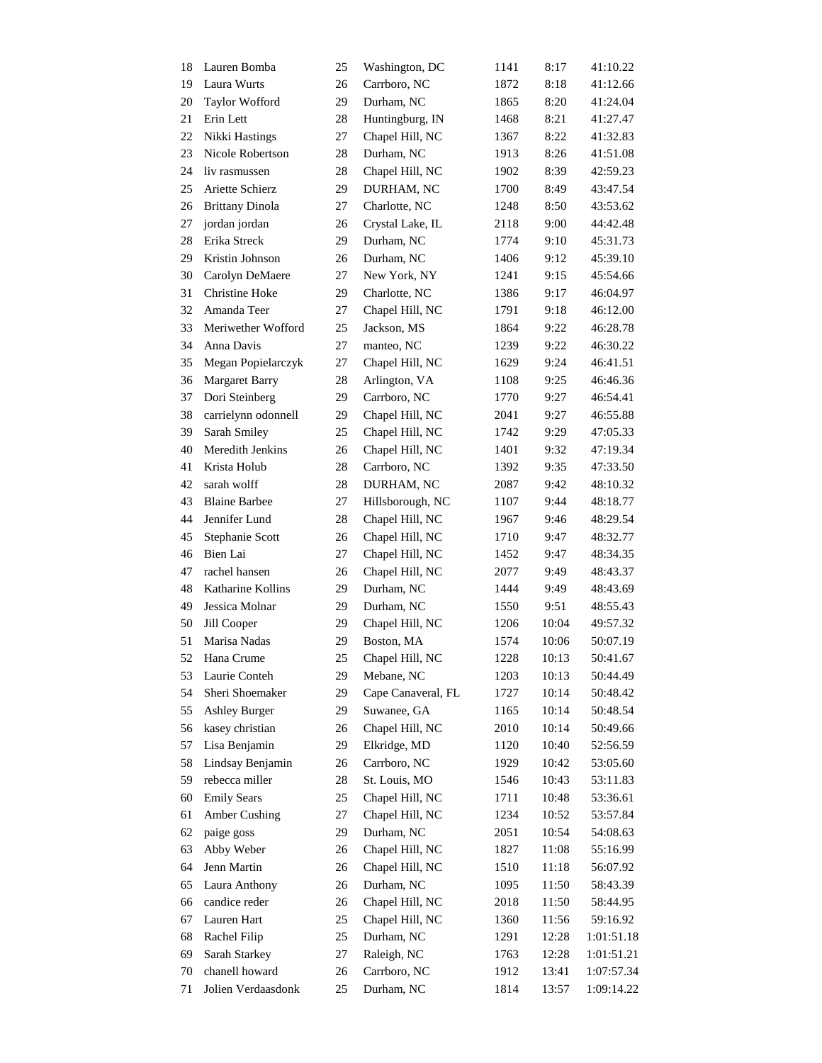| 18 | Lauren Bomba           | 25     | Washington, DC     | 1141 | 8:17  | 41:10.22   |
|----|------------------------|--------|--------------------|------|-------|------------|
| 19 | Laura Wurts            | 26     | Carrboro, NC       | 1872 | 8:18  | 41:12.66   |
| 20 | <b>Taylor Wofford</b>  | 29     | Durham, NC         | 1865 | 8:20  | 41:24.04   |
| 21 | Erin Lett              | 28     | Huntingburg, IN    | 1468 | 8:21  | 41:27.47   |
| 22 | Nikki Hastings         | 27     | Chapel Hill, NC    | 1367 | 8:22  | 41:32.83   |
| 23 | Nicole Robertson       | 28     | Durham, NC         | 1913 | 8:26  | 41:51.08   |
| 24 | liv rasmussen          | 28     | Chapel Hill, NC    | 1902 | 8:39  | 42:59.23   |
| 25 | Ariette Schierz        | 29     | DURHAM, NC         | 1700 | 8:49  | 43:47.54   |
| 26 | <b>Brittany Dinola</b> | 27     | Charlotte, NC      | 1248 | 8:50  | 43:53.62   |
| 27 | jordan jordan          | 26     | Crystal Lake, IL   | 2118 | 9:00  | 44:42.48   |
| 28 | Erika Streck           | 29     | Durham, NC         | 1774 | 9:10  | 45:31.73   |
| 29 | Kristin Johnson        | 26     | Durham, NC         | 1406 | 9:12  | 45:39.10   |
| 30 | Carolyn DeMaere        | 27     | New York, NY       | 1241 | 9:15  | 45:54.66   |
| 31 | Christine Hoke         | 29     | Charlotte, NC      | 1386 | 9:17  | 46:04.97   |
| 32 | Amanda Teer            | 27     | Chapel Hill, NC    | 1791 | 9:18  | 46:12.00   |
| 33 | Meriwether Wofford     | 25     | Jackson, MS        | 1864 | 9:22  | 46:28.78   |
| 34 | Anna Davis             | 27     | manteo, NC         | 1239 | 9:22  | 46:30.22   |
| 35 | Megan Popielarczyk     | 27     | Chapel Hill, NC    | 1629 | 9:24  | 46:41.51   |
| 36 | <b>Margaret Barry</b>  | 28     | Arlington, VA      | 1108 | 9:25  | 46:46.36   |
| 37 | Dori Steinberg         | 29     | Carrboro, NC       | 1770 | 9:27  | 46:54.41   |
| 38 | carrielynn odonnell    | 29     | Chapel Hill, NC    | 2041 | 9:27  | 46:55.88   |
| 39 | Sarah Smiley           | 25     | Chapel Hill, NC    | 1742 | 9:29  | 47:05.33   |
| 40 | Meredith Jenkins       | 26     | Chapel Hill, NC    | 1401 | 9:32  | 47:19.34   |
| 41 | Krista Holub           | 28     | Carrboro, NC       | 1392 | 9:35  | 47:33.50   |
| 42 | sarah wolff            | 28     | DURHAM, NC         | 2087 | 9:42  | 48:10.32   |
| 43 | <b>Blaine Barbee</b>   | 27     | Hillsborough, NC   | 1107 | 9:44  | 48:18.77   |
| 44 | Jennifer Lund          | 28     | Chapel Hill, NC    | 1967 | 9:46  | 48:29.54   |
| 45 | Stephanie Scott        | 26     | Chapel Hill, NC    |      | 9:47  | 48:32.77   |
|    |                        |        |                    | 1710 |       |            |
| 46 | Bien Lai               | 27     | Chapel Hill, NC    | 1452 | 9:47  | 48:34.35   |
| 47 | rachel hansen          | 26     | Chapel Hill, NC    | 2077 | 9:49  | 48:43.37   |
| 48 | Katharine Kollins      | 29     | Durham, NC         | 1444 | 9:49  | 48:43.69   |
| 49 | Jessica Molnar         | 29     | Durham, NC         | 1550 | 9:51  | 48:55.43   |
| 50 | Jill Cooper            | 29     | Chapel Hill, NC    | 1206 | 10:04 | 49:57.32   |
| 51 | Marisa Nadas           | 29     | Boston, MA         | 1574 | 10:06 | 50:07.19   |
| 52 | Hana Crume             | 25     | Chapel Hill, NC    | 1228 | 10:13 | 50:41.67   |
| 53 | Laurie Conteh          | 29     | Mebane, NC         | 1203 | 10:13 | 50:44.49   |
| 54 | Sheri Shoemaker        | 29     | Cape Canaveral, FL | 1727 | 10:14 | 50:48.42   |
| 55 | <b>Ashley Burger</b>   | 29     | Suwanee, GA        | 1165 | 10:14 | 50:48.54   |
| 56 | kasey christian        | 26     | Chapel Hill, NC    | 2010 | 10:14 | 50:49.66   |
| 57 | Lisa Benjamin          | 29     | Elkridge, MD       | 1120 | 10:40 | 52:56.59   |
| 58 | Lindsay Benjamin       | 26     | Carrboro, NC       | 1929 | 10:42 | 53:05.60   |
| 59 | rebecca miller         | $28\,$ | St. Louis, MO      | 1546 | 10:43 | 53:11.83   |
| 60 | <b>Emily Sears</b>     | 25     | Chapel Hill, NC    | 1711 | 10:48 | 53:36.61   |
| 61 | Amber Cushing          | 27     | Chapel Hill, NC    | 1234 | 10:52 | 53:57.84   |
| 62 | paige goss             | 29     | Durham, NC         | 2051 | 10:54 | 54:08.63   |
| 63 | Abby Weber             | 26     | Chapel Hill, NC    | 1827 | 11:08 | 55:16.99   |
| 64 | Jenn Martin            | 26     | Chapel Hill, NC    | 1510 | 11:18 | 56:07.92   |
| 65 | Laura Anthony          | 26     | Durham, NC         | 1095 | 11:50 | 58:43.39   |
| 66 | candice reder          | 26     | Chapel Hill, NC    | 2018 | 11:50 | 58:44.95   |
| 67 | Lauren Hart            | 25     | Chapel Hill, NC    | 1360 | 11:56 | 59:16.92   |
| 68 | Rachel Filip           | 25     | Durham, NC         | 1291 | 12:28 | 1:01:51.18 |
| 69 | Sarah Starkey          | 27     | Raleigh, NC        | 1763 | 12:28 | 1:01:51.21 |
| 70 | chanell howard         | 26     | Carrboro, NC       | 1912 | 13:41 | 1:07:57.34 |
| 71 | Jolien Verdaasdonk     | 25     | Durham, NC         | 1814 | 13:57 | 1:09:14.22 |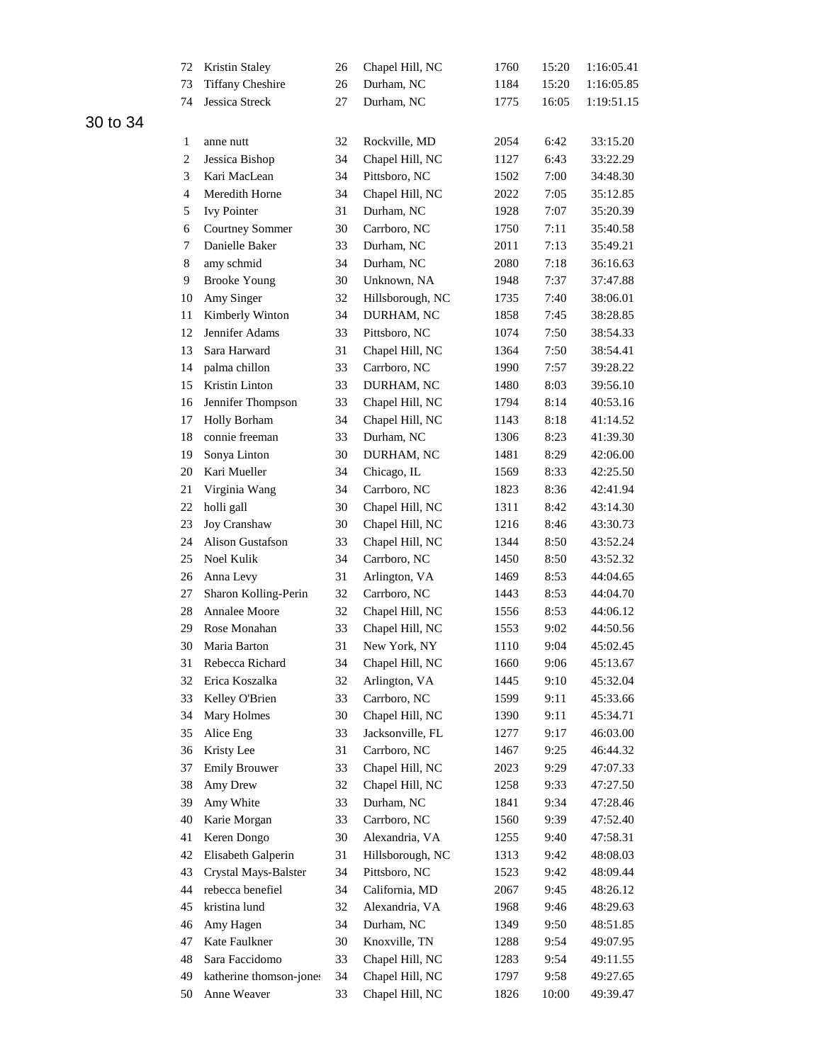| 72             | Kristin Staley          | 26 | Chapel Hill, NC  | 1760 | 15:20 | 1:16:05.41 |
|----------------|-------------------------|----|------------------|------|-------|------------|
| 73             | <b>Tiffany Cheshire</b> | 26 | Durham, NC       | 1184 | 15:20 | 1:16:05.85 |
| 74             | Jessica Streck          | 27 | Durham, NC       | 1775 | 16:05 | 1:19:51.15 |
|                |                         |    |                  |      |       |            |
| 1              | anne nutt               | 32 | Rockville, MD    | 2054 | 6:42  | 33:15.20   |
| $\sqrt{2}$     | Jessica Bishop          | 34 | Chapel Hill, NC  | 1127 | 6:43  | 33:22.29   |
| 3              | Kari MacLean            | 34 | Pittsboro, NC    | 1502 | 7:00  | 34:48.30   |
| $\overline{4}$ | Meredith Horne          | 34 | Chapel Hill, NC  | 2022 | 7:05  | 35:12.85   |
| 5              | <b>Ivy Pointer</b>      | 31 | Durham, NC       | 1928 | 7:07  | 35:20.39   |
| 6              | <b>Courtney Sommer</b>  | 30 | Carrboro, NC     | 1750 | 7:11  | 35:40.58   |
| 7              | Danielle Baker          | 33 | Durham, NC       | 2011 | 7:13  | 35:49.21   |
| $\,8\,$        | amy schmid              | 34 | Durham, NC       | 2080 | 7:18  | 36:16.63   |
| 9              | <b>Brooke Young</b>     | 30 | Unknown, NA      | 1948 | 7:37  | 37:47.88   |
| 10             | Amy Singer              | 32 | Hillsborough, NC | 1735 | 7:40  | 38:06.01   |
| 11             | Kimberly Winton         | 34 | DURHAM, NC       | 1858 | 7:45  | 38:28.85   |
| 12             | Jennifer Adams          | 33 | Pittsboro, NC    | 1074 | 7:50  | 38:54.33   |
| 13             | Sara Harward            | 31 | Chapel Hill, NC  | 1364 | 7:50  | 38:54.41   |
| 14             | palma chillon           | 33 | Carrboro, NC     | 1990 | 7:57  | 39:28.22   |
| 15             | Kristin Linton          | 33 | DURHAM, NC       | 1480 | 8:03  | 39:56.10   |
| 16             | Jennifer Thompson       | 33 | Chapel Hill, NC  | 1794 | 8:14  | 40:53.16   |
| 17             | <b>Holly Borham</b>     | 34 | Chapel Hill, NC  | 1143 | 8:18  | 41:14.52   |
| 18             | connie freeman          | 33 | Durham, NC       | 1306 | 8:23  | 41:39.30   |
| 19             | Sonya Linton            | 30 | DURHAM, NC       | 1481 | 8:29  | 42:06.00   |
| 20             | Kari Mueller            | 34 | Chicago, IL      | 1569 | 8:33  | 42:25.50   |
| 21             | Virginia Wang           | 34 | Carrboro, NC     | 1823 | 8:36  | 42:41.94   |
| 22             | holli gall              | 30 | Chapel Hill, NC  | 1311 | 8:42  | 43:14.30   |
| 23             | Joy Cranshaw            | 30 | Chapel Hill, NC  | 1216 | 8:46  | 43:30.73   |
| 24             | Alison Gustafson        | 33 | Chapel Hill, NC  | 1344 | 8:50  | 43:52.24   |
| 25             | Noel Kulik              | 34 | Carrboro, NC     | 1450 | 8:50  | 43:52.32   |
| 26             | Anna Levy               | 31 | Arlington, VA    | 1469 | 8:53  | 44:04.65   |
| 27             | Sharon Kolling-Perin    | 32 | Carrboro, NC     | 1443 | 8:53  | 44:04.70   |
| 28             | Annalee Moore           | 32 | Chapel Hill, NC  | 1556 | 8:53  | 44:06.12   |
| 29             | Rose Monahan            | 33 | Chapel Hill, NC  | 1553 | 9:02  | 44:50.56   |
| 30             | Maria Barton            | 31 | New York, NY     | 1110 | 9:04  | 45:02.45   |
| 31             | Rebecca Richard         | 34 | Chapel Hill, NC  | 1660 | 9:06  | 45:13.67   |
| 32             | Erica Koszalka          | 32 | Arlington, VA    | 1445 | 9:10  | 45:32.04   |
| 33             | Kelley O'Brien          | 33 | Carrboro, NC     | 1599 | 9:11  | 45:33.66   |
| 34             | Mary Holmes             | 30 | Chapel Hill, NC  | 1390 | 9:11  | 45:34.71   |
| 35             | Alice Eng               | 33 | Jacksonville, FL | 1277 | 9:17  | 46:03.00   |
| 36             | Kristy Lee              | 31 | Carrboro, NC     | 1467 | 9:25  | 46:44.32   |
| 37             | <b>Emily Brouwer</b>    | 33 | Chapel Hill, NC  | 2023 | 9:29  | 47:07.33   |
| 38             | Amy Drew                | 32 | Chapel Hill, NC  | 1258 | 9:33  | 47:27.50   |
| 39             | Amy White               | 33 | Durham, NC       | 1841 | 9:34  | 47:28.46   |
| 40             | Karie Morgan            | 33 | Carrboro, NC     | 1560 | 9:39  | 47:52.40   |
| 41             | Keren Dongo             | 30 | Alexandria, VA   | 1255 | 9:40  | 47:58.31   |
| 42             | Elisabeth Galperin      | 31 | Hillsborough, NC | 1313 | 9:42  | 48:08.03   |
| 43             | Crystal Mays-Balster    | 34 | Pittsboro, NC    | 1523 | 9:42  | 48:09.44   |
| 44             | rebecca benefiel        | 34 | California, MD   | 2067 | 9:45  | 48:26.12   |
| 45             | kristina lund           | 32 | Alexandria, VA   | 1968 | 9:46  | 48:29.63   |
| 46             | Amy Hagen               | 34 | Durham, NC       | 1349 | 9:50  | 48:51.85   |
| 47             | Kate Faulkner           | 30 | Knoxville, TN    | 1288 | 9:54  | 49:07.95   |
| 48             | Sara Faccidomo          | 33 | Chapel Hill, NC  | 1283 | 9:54  | 49:11.55   |
| 49             | katherine thomson-jones | 34 | Chapel Hill, NC  | 1797 | 9:58  | 49:27.65   |
| 50             | Anne Weaver             | 33 | Chapel Hill, NC  | 1826 | 10:00 | 49:39.47   |
|                |                         |    |                  |      |       |            |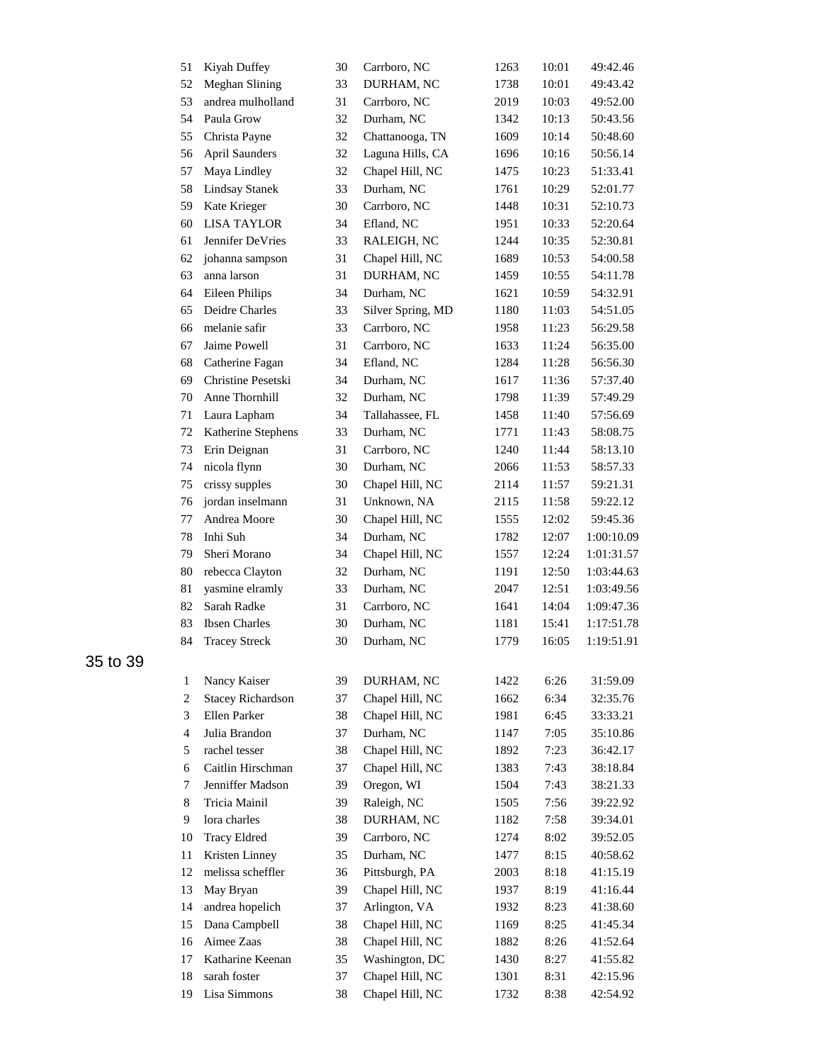| 51             | Kiyah Duffey             | 30 | Carrboro, NC      | 1263 | 10:01 | 49:42.46   |
|----------------|--------------------------|----|-------------------|------|-------|------------|
| 52             | Meghan Slining           | 33 | DURHAM, NC        | 1738 | 10:01 | 49:43.42   |
| 53             | andrea mulholland        | 31 | Carrboro, NC      | 2019 | 10:03 | 49:52.00   |
| 54             | Paula Grow               | 32 | Durham, NC        | 1342 | 10:13 | 50:43.56   |
| 55             | Christa Payne            | 32 | Chattanooga, TN   | 1609 | 10:14 | 50:48.60   |
| 56             | <b>April Saunders</b>    | 32 | Laguna Hills, CA  | 1696 | 10:16 | 50:56.14   |
| 57             | Maya Lindley             | 32 | Chapel Hill, NC   | 1475 | 10:23 | 51:33.41   |
| 58             | <b>Lindsay Stanek</b>    | 33 | Durham, NC        | 1761 | 10:29 | 52:01.77   |
| 59             | Kate Krieger             | 30 | Carrboro, NC      | 1448 | 10:31 | 52:10.73   |
| 60             | <b>LISA TAYLOR</b>       | 34 | Efland, NC        | 1951 | 10:33 | 52:20.64   |
| 61             | Jennifer DeVries         | 33 | RALEIGH, NC       | 1244 | 10:35 | 52:30.81   |
| 62             | johanna sampson          | 31 | Chapel Hill, NC   | 1689 | 10:53 | 54:00.58   |
| 63             | anna larson              | 31 | DURHAM, NC        | 1459 | 10:55 | 54:11.78   |
| 64             | <b>Eileen Philips</b>    | 34 | Durham, NC        | 1621 | 10:59 | 54:32.91   |
| 65             | Deidre Charles           | 33 | Silver Spring, MD | 1180 | 11:03 | 54:51.05   |
| 66             | melanie safir            | 33 | Carrboro, NC      | 1958 | 11:23 | 56:29.58   |
| 67             | Jaime Powell             | 31 | Carrboro, NC      | 1633 | 11:24 | 56:35.00   |
| 68             | Catherine Fagan          | 34 | Efland, NC        | 1284 | 11:28 | 56:56.30   |
| 69             | Christine Pesetski       | 34 | Durham, NC        | 1617 | 11:36 | 57:37.40   |
| 70             | Anne Thornhill           | 32 | Durham, NC        | 1798 | 11:39 | 57:49.29   |
| 71             | Laura Lapham             | 34 | Tallahassee, FL   | 1458 | 11:40 | 57:56.69   |
| 72             | Katherine Stephens       | 33 | Durham, NC        | 1771 | 11:43 | 58:08.75   |
| 73             | Erin Deignan             | 31 | Carrboro, NC      | 1240 | 11:44 | 58:13.10   |
| 74             | nicola flynn             | 30 | Durham, NC        | 2066 | 11:53 | 58:57.33   |
| 75             | crissy supples           | 30 | Chapel Hill, NC   | 2114 | 11:57 | 59:21.31   |
| 76             | jordan inselmann         | 31 | Unknown, NA       | 2115 | 11:58 | 59:22.12   |
| $77\,$         | Andrea Moore             | 30 | Chapel Hill, NC   | 1555 | 12:02 | 59:45.36   |
| 78             | Inhi Suh                 | 34 | Durham, NC        | 1782 | 12:07 | 1:00:10.09 |
| 79             | Sheri Morano             | 34 | Chapel Hill, NC   | 1557 | 12:24 | 1:01:31.57 |
| 80             | rebecca Clayton          | 32 | Durham, NC        | 1191 | 12:50 | 1:03:44.63 |
| 81             | yasmine elramly          | 33 | Durham, NC        | 2047 | 12:51 | 1:03:49.56 |
| 82             | Sarah Radke              | 31 | Carrboro, NC      | 1641 | 14:04 | 1:09:47.36 |
| 83             | <b>Ibsen Charles</b>     | 30 | Durham, NC        | 1181 | 15:41 | 1:17:51.78 |
| 84             | <b>Tracey Streck</b>     | 30 | Durham, NC        | 1779 | 16:05 | 1:19:51.91 |
|                |                          |    |                   |      |       |            |
| 1              | Nancy Kaiser             | 39 | DURHAM, NC        | 1422 | 6:26  | 31:59.09   |
| $\overline{c}$ | <b>Stacey Richardson</b> | 37 | Chapel Hill, NC   | 1662 | 6:34  | 32:35.76   |
| 3              | Ellen Parker             | 38 | Chapel Hill, NC   | 1981 | 6:45  | 33:33.21   |
| $\overline{4}$ | Julia Brandon            | 37 | Durham, NC        | 1147 | 7:05  | 35:10.86   |
| 5              | rachel tesser            | 38 | Chapel Hill, NC   | 1892 | 7:23  | 36:42.17   |
| 6              | Caitlin Hirschman        | 37 | Chapel Hill, NC   | 1383 | 7:43  | 38:18.84   |
| 7              | Jenniffer Madson         | 39 | Oregon, WI        | 1504 | 7:43  | 38:21.33   |
| 8              | Tricia Mainil            | 39 | Raleigh, NC       | 1505 | 7:56  | 39:22.92   |
| 9              | lora charles             | 38 | DURHAM, NC        | 1182 | 7:58  | 39:34.01   |
| 10             | <b>Tracy Eldred</b>      | 39 | Carrboro, NC      | 1274 | 8:02  | 39:52.05   |
| 11             | Kristen Linney           | 35 | Durham, NC        | 1477 | 8:15  | 40:58.62   |
| 12             | melissa scheffler        | 36 | Pittsburgh, PA    | 2003 | 8:18  | 41:15.19   |
| 13             | May Bryan                | 39 | Chapel Hill, NC   | 1937 | 8:19  | 41:16.44   |
| 14             | andrea hopelich          | 37 | Arlington, VA     | 1932 | 8:23  | 41:38.60   |
| 15             | Dana Campbell            | 38 | Chapel Hill, NC   | 1169 | 8:25  | 41:45.34   |
| 16             | Aimee Zaas               | 38 | Chapel Hill, NC   | 1882 | 8:26  | 41:52.64   |
| 17             | Katharine Keenan         | 35 | Washington, DC    | 1430 | 8:27  | 41:55.82   |
| 18             | sarah foster             | 37 | Chapel Hill, NC   | 1301 | 8:31  | 42:15.96   |
| 19             | Lisa Simmons             | 38 | Chapel Hill, NC   | 1732 | 8:38  | 42:54.92   |
|                |                          |    |                   |      |       |            |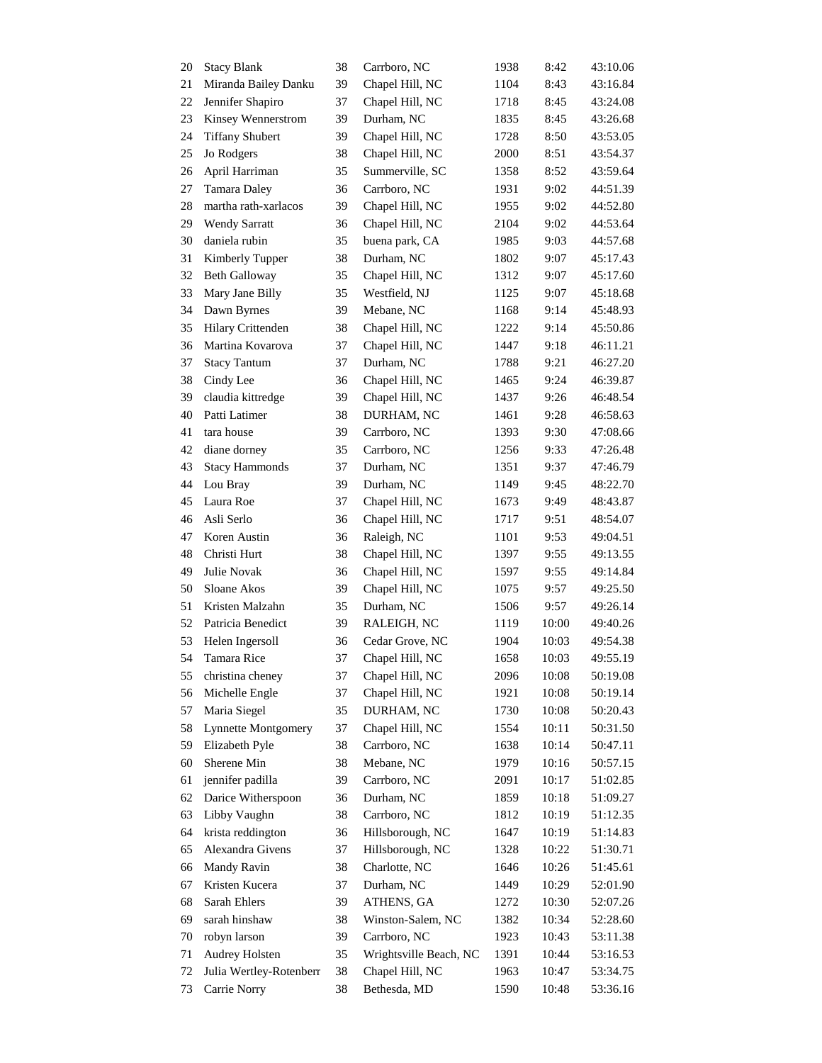| 20 | <b>Stacy Blank</b>         | 38 | Carrboro, NC           | 1938 | 8:42  | 43:10.06 |
|----|----------------------------|----|------------------------|------|-------|----------|
| 21 | Miranda Bailey Danku       | 39 | Chapel Hill, NC        | 1104 | 8:43  | 43:16.84 |
| 22 | Jennifer Shapiro           | 37 | Chapel Hill, NC        | 1718 | 8:45  | 43:24.08 |
| 23 | Kinsey Wennerstrom         | 39 | Durham, NC             | 1835 | 8:45  | 43:26.68 |
| 24 | <b>Tiffany Shubert</b>     | 39 | Chapel Hill, NC        | 1728 | 8:50  | 43:53.05 |
| 25 | Jo Rodgers                 | 38 | Chapel Hill, NC        | 2000 | 8:51  | 43:54.37 |
| 26 | April Harriman             | 35 | Summerville, SC        | 1358 | 8:52  | 43:59.64 |
| 27 | Tamara Daley               | 36 | Carrboro, NC           | 1931 | 9:02  | 44:51.39 |
| 28 | martha rath-xarlacos       | 39 | Chapel Hill, NC        | 1955 | 9:02  | 44:52.80 |
| 29 | <b>Wendy Sarratt</b>       | 36 | Chapel Hill, NC        | 2104 | 9:02  | 44:53.64 |
| 30 | daniela rubin              | 35 | buena park, CA         | 1985 | 9:03  | 44:57.68 |
| 31 | Kimberly Tupper            | 38 | Durham, NC             | 1802 | 9:07  | 45:17.43 |
| 32 | <b>Beth Galloway</b>       | 35 | Chapel Hill, NC        | 1312 | 9:07  | 45:17.60 |
| 33 | Mary Jane Billy            | 35 | Westfield, NJ          | 1125 | 9:07  | 45:18.68 |
| 34 | Dawn Byrnes                | 39 | Mebane, NC             | 1168 | 9:14  | 45:48.93 |
| 35 | Hilary Crittenden          | 38 | Chapel Hill, NC        | 1222 | 9:14  | 45:50.86 |
| 36 | Martina Kovarova           | 37 | Chapel Hill, NC        | 1447 | 9:18  | 46:11.21 |
| 37 | <b>Stacy Tantum</b>        | 37 | Durham, NC             | 1788 | 9:21  | 46:27.20 |
| 38 | Cindy Lee                  | 36 | Chapel Hill, NC        | 1465 | 9:24  | 46:39.87 |
| 39 | claudia kittredge          | 39 | Chapel Hill, NC        | 1437 | 9:26  | 46:48.54 |
| 40 | Patti Latimer              | 38 | DURHAM, NC             | 1461 | 9:28  | 46:58.63 |
| 41 | tara house                 | 39 | Carrboro, NC           | 1393 | 9:30  | 47:08.66 |
| 42 | diane dorney               | 35 | Carrboro, NC           | 1256 | 9:33  | 47:26.48 |
| 43 | <b>Stacy Hammonds</b>      | 37 | Durham, NC             | 1351 | 9:37  | 47:46.79 |
| 44 | Lou Bray                   | 39 | Durham, NC             | 1149 | 9:45  | 48:22.70 |
| 45 | Laura Roe                  | 37 | Chapel Hill, NC        | 1673 | 9:49  | 48:43.87 |
| 46 | Asli Serlo                 | 36 | Chapel Hill, NC        | 1717 | 9:51  | 48:54.07 |
| 47 | Koren Austin               | 36 | Raleigh, NC            | 1101 | 9:53  | 49:04.51 |
| 48 | Christi Hurt               | 38 | Chapel Hill, NC        | 1397 | 9:55  | 49:13.55 |
| 49 | Julie Novak                | 36 | Chapel Hill, NC        | 1597 | 9:55  | 49:14.84 |
| 50 | Sloane Akos                | 39 | Chapel Hill, NC        | 1075 | 9:57  | 49:25.50 |
| 51 | Kristen Malzahn            | 35 | Durham, NC             | 1506 | 9:57  | 49:26.14 |
| 52 | Patricia Benedict          | 39 | RALEIGH, NC            | 1119 | 10:00 | 49:40.26 |
| 53 | Helen Ingersoll            | 36 | Cedar Grove, NC        | 1904 | 10:03 | 49:54.38 |
| 54 | <b>Tamara Rice</b>         | 37 | Chapel Hill, NC        | 1658 | 10:03 | 49:55.19 |
| 55 | christina cheney           | 37 | Chapel Hill, NC        | 2096 | 10:08 | 50:19.08 |
| 56 | Michelle Engle             | 37 | Chapel Hill, NC        | 1921 | 10:08 | 50:19.14 |
| 57 | Maria Siegel               | 35 | DURHAM, NC             | 1730 | 10:08 | 50:20.43 |
| 58 | <b>Lynnette Montgomery</b> | 37 | Chapel Hill, NC        | 1554 | 10:11 | 50:31.50 |
| 59 | Elizabeth Pyle             | 38 | Carrboro, NC           | 1638 | 10:14 | 50:47.11 |
| 60 | Sherene Min                | 38 | Mebane, NC             | 1979 | 10:16 | 50:57.15 |
| 61 | jennifer padilla           | 39 | Carrboro, NC           | 2091 | 10:17 | 51:02.85 |
| 62 | Darice Witherspoon         | 36 | Durham, NC             | 1859 | 10:18 | 51:09.27 |
| 63 | Libby Vaughn               | 38 | Carrboro, NC           | 1812 | 10:19 | 51:12.35 |
| 64 | krista reddington          | 36 | Hillsborough, NC       | 1647 | 10:19 | 51:14.83 |
| 65 | Alexandra Givens           | 37 | Hillsborough, NC       | 1328 | 10:22 | 51:30.71 |
| 66 | Mandy Ravin                | 38 | Charlotte, NC          | 1646 | 10:26 | 51:45.61 |
| 67 | Kristen Kucera             | 37 | Durham, NC             | 1449 | 10:29 | 52:01.90 |
| 68 | Sarah Ehlers               | 39 | ATHENS, GA             | 1272 | 10:30 | 52:07.26 |
| 69 | sarah hinshaw              | 38 | Winston-Salem, NC      | 1382 | 10:34 | 52:28.60 |
| 70 | robyn larson               | 39 | Carrboro, NC           | 1923 | 10:43 | 53:11.38 |
| 71 | Audrey Holsten             | 35 | Wrightsville Beach, NC | 1391 | 10:44 | 53:16.53 |
| 72 | Julia Wertley-Rotenberr    | 38 | Chapel Hill, NC        | 1963 | 10:47 | 53:34.75 |
| 73 | Carrie Norry               | 38 | Bethesda, MD           | 1590 | 10:48 | 53:36.16 |
|    |                            |    |                        |      |       |          |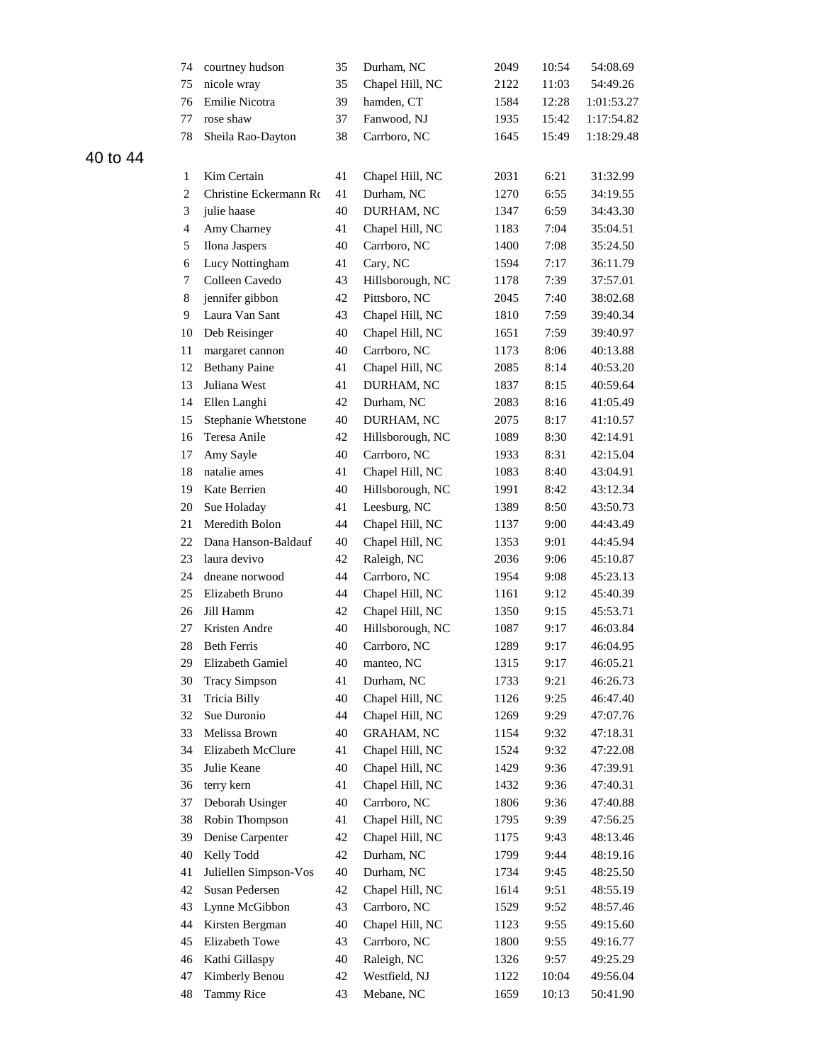|          | 74             | courtney hudson        | 35 | Durham, NC        | 2049 | 10:54 | 54:08.69   |
|----------|----------------|------------------------|----|-------------------|------|-------|------------|
|          | 75             | nicole wray            | 35 | Chapel Hill, NC   | 2122 | 11:03 | 54:49.26   |
|          | 76             | Emilie Nicotra         | 39 | hamden, CT        | 1584 | 12:28 | 1:01:53.27 |
|          | 77             | rose shaw              | 37 | Fanwood, NJ       | 1935 | 15:42 | 1:17:54.82 |
|          | 78             | Sheila Rao-Dayton      | 38 | Carrboro, NC      | 1645 | 15:49 | 1:18:29.48 |
| 40 to 44 |                |                        |    |                   |      |       |            |
|          | 1              | Kim Certain            | 41 | Chapel Hill, NC   | 2031 | 6:21  | 31:32.99   |
|          | 2              | Christine Eckermann Ro | 41 | Durham, NC        | 1270 | 6:55  | 34:19.55   |
|          | 3              | julie haase            | 40 | DURHAM, NC        | 1347 | 6:59  | 34:43.30   |
|          | $\overline{4}$ | Amy Charney            | 41 | Chapel Hill, NC   | 1183 | 7:04  | 35:04.51   |
|          | 5              | Ilona Jaspers          | 40 | Carrboro, NC      | 1400 | 7:08  | 35:24.50   |
|          | 6              | Lucy Nottingham        | 41 | Cary, NC          | 1594 | 7:17  | 36:11.79   |
|          | $\tau$         | Colleen Cavedo         | 43 | Hillsborough, NC  | 1178 | 7:39  | 37:57.01   |
|          | 8              | jennifer gibbon        | 42 | Pittsboro, NC     | 2045 | 7:40  | 38:02.68   |
|          | 9              | Laura Van Sant         | 43 | Chapel Hill, NC   | 1810 | 7:59  | 39:40.34   |
|          | 10             | Deb Reisinger          | 40 | Chapel Hill, NC   | 1651 | 7:59  | 39:40.97   |
|          | 11             | margaret cannon        | 40 | Carrboro, NC      | 1173 | 8:06  | 40:13.88   |
|          | 12             | <b>Bethany Paine</b>   | 41 | Chapel Hill, NC   | 2085 | 8:14  | 40:53.20   |
|          | 13             | Juliana West           | 41 | DURHAM, NC        | 1837 | 8:15  | 40:59.64   |
|          | 14             | Ellen Langhi           | 42 | Durham, NC        | 2083 | 8:16  | 41:05.49   |
|          | 15             | Stephanie Whetstone    | 40 | DURHAM, NC        | 2075 | 8:17  | 41:10.57   |
|          | 16             | Teresa Anile           | 42 | Hillsborough, NC  | 1089 | 8:30  | 42:14.91   |
|          | 17             | Amy Sayle              | 40 | Carrboro, NC      | 1933 | 8:31  | 42:15.04   |
|          | 18             | natalie ames           | 41 | Chapel Hill, NC   | 1083 | 8:40  | 43:04.91   |
|          | 19             | Kate Berrien           | 40 | Hillsborough, NC  | 1991 | 8:42  | 43:12.34   |
|          | 20             | Sue Holaday            | 41 | Leesburg, NC      | 1389 | 8:50  | 43:50.73   |
|          | 21             | Meredith Bolon         | 44 | Chapel Hill, NC   | 1137 | 9:00  | 44:43.49   |
|          | 22             | Dana Hanson-Baldauf    | 40 | Chapel Hill, NC   | 1353 | 9:01  | 44:45.94   |
|          | 23             | laura devivo           | 42 | Raleigh, NC       | 2036 | 9:06  | 45:10.87   |
|          | 24             | dneane norwood         | 44 | Carrboro, NC      | 1954 | 9:08  | 45:23.13   |
|          | 25             | Elizabeth Bruno        | 44 | Chapel Hill, NC   | 1161 | 9:12  | 45:40.39   |
|          | 26             | Jill Hamm              | 42 | Chapel Hill, NC   | 1350 | 9:15  | 45:53.71   |
|          | 27             | Kristen Andre          | 40 | Hillsborough, NC  | 1087 | 9:17  | 46:03.84   |
|          | 28             | <b>Beth Ferris</b>     | 40 | Carrboro, NC      | 1289 | 9:17  | 46:04.95   |
|          | 29             | Elizabeth Gamiel       | 40 | manteo, NC        | 1315 | 9:17  | 46:05.21   |
|          | 30             | <b>Tracy Simpson</b>   | 41 | Durham, NC        | 1733 | 9:21  | 46:26.73   |
|          | 31             | Tricia Billy           | 40 | Chapel Hill, NC   | 1126 | 9:25  | 46:47.40   |
|          | 32             | Sue Duronio            | 44 | Chapel Hill, NC   | 1269 | 9:29  | 47:07.76   |
|          | 33             | Melissa Brown          | 40 | <b>GRAHAM, NC</b> | 1154 | 9:32  | 47:18.31   |
|          | 34             | Elizabeth McClure      | 41 | Chapel Hill, NC   | 1524 | 9:32  | 47:22.08   |
|          | 35             | Julie Keane            | 40 | Chapel Hill, NC   | 1429 | 9:36  | 47:39.91   |
|          | 36             | terry kern             | 41 | Chapel Hill, NC   | 1432 | 9:36  | 47:40.31   |
|          | 37             | Deborah Usinger        | 40 | Carrboro, NC      | 1806 | 9:36  | 47:40.88   |
|          | 38             | Robin Thompson         | 41 | Chapel Hill, NC   | 1795 | 9:39  | 47:56.25   |
|          | 39             | Denise Carpenter       | 42 | Chapel Hill, NC   | 1175 | 9:43  | 48:13.46   |
|          | 40             | Kelly Todd             | 42 | Durham, NC        | 1799 | 9:44  | 48:19.16   |
|          | 41             | Juliellen Simpson-Vos  | 40 | Durham, NC        | 1734 | 9:45  | 48:25.50   |
|          | 42             | Susan Pedersen         | 42 | Chapel Hill, NC   | 1614 | 9:51  | 48:55.19   |
|          | 43             | Lynne McGibbon         | 43 | Carrboro, NC      | 1529 | 9:52  | 48:57.46   |
|          | 44             | Kirsten Bergman        | 40 | Chapel Hill, NC   | 1123 | 9:55  | 49:15.60   |
|          | 45             | Elizabeth Towe         | 43 | Carrboro, NC      | 1800 | 9:55  | 49:16.77   |
|          | 46             | Kathi Gillaspy         | 40 | Raleigh, NC       | 1326 | 9:57  | 49:25.29   |
|          | 47             | Kimberly Benou         | 42 | Westfield, NJ     | 1122 | 10:04 | 49:56.04   |
|          | 48             | Tammy Rice             | 43 | Mebane, NC        | 1659 | 10:13 | 50:41.90   |
|          |                |                        |    |                   |      |       |            |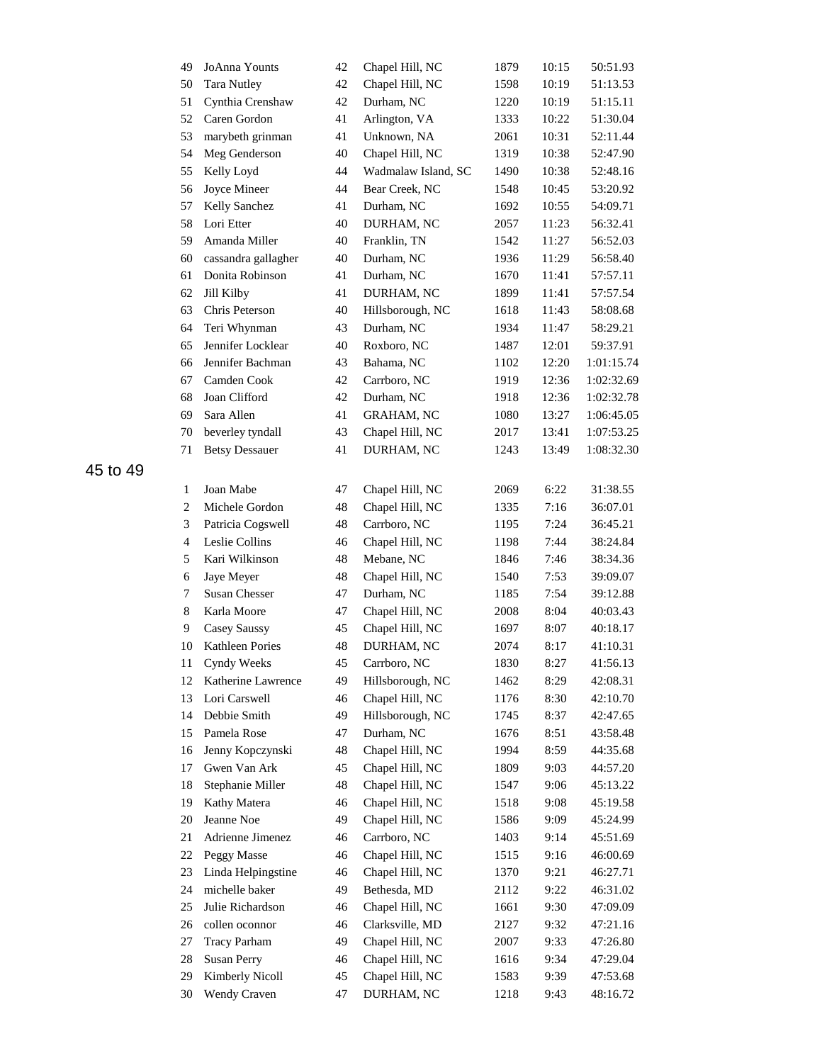| 49             | JoAnna Younts         | 42 | Chapel Hill, NC     | 1879 | 10:15 | 50:51.93   |
|----------------|-----------------------|----|---------------------|------|-------|------------|
| 50             | <b>Tara Nutley</b>    | 42 | Chapel Hill, NC     | 1598 | 10:19 | 51:13.53   |
| 51             | Cynthia Crenshaw      | 42 | Durham, NC          | 1220 | 10:19 | 51:15.11   |
| 52             | Caren Gordon          | 41 | Arlington, VA       | 1333 | 10:22 | 51:30.04   |
| 53             | marybeth grinman      | 41 | Unknown, NA         | 2061 | 10:31 | 52:11.44   |
| 54             | Meg Genderson         | 40 | Chapel Hill, NC     | 1319 | 10:38 | 52:47.90   |
| 55             | Kelly Loyd            | 44 | Wadmalaw Island, SC | 1490 | 10:38 | 52:48.16   |
| 56             | Joyce Mineer          | 44 | Bear Creek, NC      | 1548 | 10:45 | 53:20.92   |
| 57             | Kelly Sanchez         | 41 | Durham, NC          | 1692 | 10:55 | 54:09.71   |
| 58             | Lori Etter            | 40 | DURHAM, NC          | 2057 | 11:23 | 56:32.41   |
| 59             | Amanda Miller         | 40 | Franklin, TN        | 1542 | 11:27 | 56:52.03   |
| 60             | cassandra gallagher   | 40 | Durham, NC          | 1936 | 11:29 | 56:58.40   |
| 61             | Donita Robinson       | 41 | Durham, NC          | 1670 | 11:41 | 57:57.11   |
| 62             | Jill Kilby            | 41 | DURHAM, NC          | 1899 | 11:41 | 57:57.54   |
| 63             | Chris Peterson        | 40 | Hillsborough, NC    | 1618 | 11:43 | 58:08.68   |
| 64             | Teri Whynman          | 43 | Durham, NC          | 1934 | 11:47 | 58:29.21   |
| 65             | Jennifer Locklear     | 40 | Roxboro, NC         | 1487 | 12:01 | 59:37.91   |
| 66             | Jennifer Bachman      | 43 | Bahama, NC          | 1102 | 12:20 | 1:01:15.74 |
| 67             | Camden Cook           | 42 | Carrboro, NC        | 1919 | 12:36 | 1:02:32.69 |
| 68             | Joan Clifford         | 42 | Durham, NC          | 1918 | 12:36 | 1:02:32.78 |
| 69             | Sara Allen            | 41 | <b>GRAHAM, NC</b>   | 1080 | 13:27 | 1:06:45.05 |
| 70             | beverley tyndall      | 43 | Chapel Hill, NC     | 2017 | 13:41 | 1:07:53.25 |
| 71             | <b>Betsy Dessauer</b> | 41 | DURHAM, NC          | 1243 | 13:49 | 1:08:32.30 |
|                |                       |    |                     |      |       |            |
| $\mathbf{1}$   | Joan Mabe             | 47 | Chapel Hill, NC     | 2069 | 6:22  | 31:38.55   |
| $\overline{c}$ | Michele Gordon        | 48 | Chapel Hill, NC     | 1335 | 7:16  | 36:07.01   |
| 3              | Patricia Cogswell     | 48 | Carrboro, NC        | 1195 | 7:24  | 36:45.21   |
| $\overline{4}$ | Leslie Collins        | 46 | Chapel Hill, NC     | 1198 | 7:44  | 38:24.84   |
| 5              | Kari Wilkinson        | 48 | Mebane, NC          | 1846 | 7:46  | 38:34.36   |
| 6              | Jaye Meyer            | 48 | Chapel Hill, NC     | 1540 | 7:53  | 39:09.07   |
| 7              | <b>Susan Chesser</b>  | 47 | Durham, NC          | 1185 | 7:54  | 39:12.88   |
| 8              | Karla Moore           | 47 | Chapel Hill, NC     | 2008 | 8:04  | 40:03.43   |
| 9              | Casey Saussy          | 45 | Chapel Hill, NC     | 1697 | 8:07  | 40:18.17   |
| 10             | Kathleen Pories       | 48 | DURHAM, NC          | 2074 | 8:17  | 41:10.31   |
| 11             | Cyndy Weeks           | 45 | Carrboro, NC        | 1830 | 8:27  | 41:56.13   |
| 12             | Katherine Lawrence    | 49 | Hillsborough, NC    | 1462 | 8:29  | 42:08.31   |
| 13             | Lori Carswell         | 46 | Chapel Hill, NC     | 1176 | 8:30  | 42:10.70   |
| 14             | Debbie Smith          | 49 | Hillsborough, NC    | 1745 | 8:37  | 42:47.65   |
| 15             | Pamela Rose           | 47 | Durham, NC          | 1676 | 8:51  | 43:58.48   |
| 16             | Jenny Kopczynski      | 48 | Chapel Hill, NC     | 1994 | 8:59  | 44:35.68   |
| 17             | Gwen Van Ark          | 45 | Chapel Hill, NC     | 1809 | 9:03  | 44:57.20   |
| 18             | Stephanie Miller      | 48 | Chapel Hill, NC     | 1547 | 9:06  | 45:13.22   |
| 19             | Kathy Matera          | 46 | Chapel Hill, NC     | 1518 | 9:08  | 45:19.58   |
| 20             | Jeanne Noe            | 49 | Chapel Hill, NC     | 1586 | 9:09  | 45:24.99   |
| 21             | Adrienne Jimenez      | 46 | Carrboro, NC        | 1403 | 9:14  | 45:51.69   |
| 22             | Peggy Masse           | 46 | Chapel Hill, NC     | 1515 | 9:16  | 46:00.69   |
| 23             | Linda Helpingstine    | 46 | Chapel Hill, NC     | 1370 | 9:21  | 46:27.71   |
| 24             | michelle baker        | 49 | Bethesda, MD        | 2112 | 9:22  | 46:31.02   |
| 25             | Julie Richardson      | 46 | Chapel Hill, NC     | 1661 | 9:30  | 47:09.09   |
| 26             | collen oconnor        | 46 | Clarksville, MD     | 2127 | 9:32  | 47:21.16   |
| 27             | <b>Tracy Parham</b>   | 49 | Chapel Hill, NC     | 2007 | 9:33  | 47:26.80   |
| 28             | <b>Susan Perry</b>    | 46 | Chapel Hill, NC     | 1616 | 9:34  | 47:29.04   |
| 29             | Kimberly Nicoll       | 45 | Chapel Hill, NC     | 1583 | 9:39  | 47:53.68   |
| 30             | Wendy Craven          | 47 | DURHAM, NC          | 1218 | 9:43  | 48:16.72   |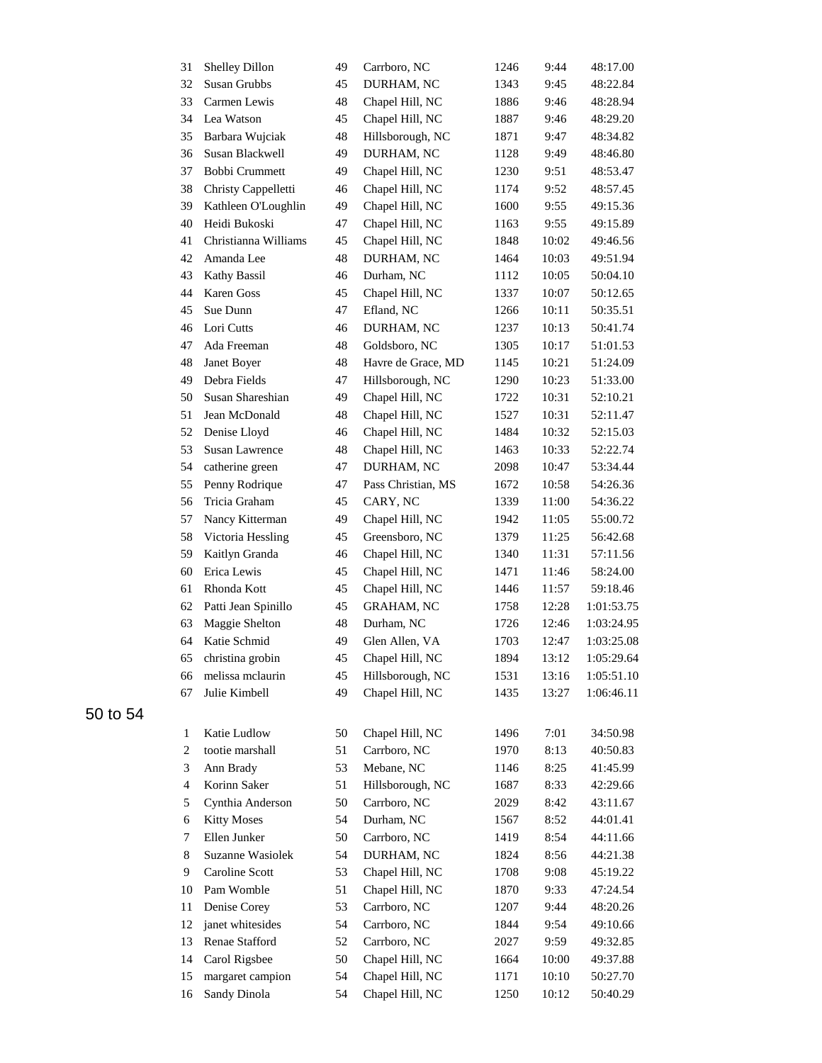| 31                       | Shelley Dillon        | 49 | Carrboro, NC       | 1246 | 9:44  | 48:17.00   |
|--------------------------|-----------------------|----|--------------------|------|-------|------------|
| 32                       | Susan Grubbs          | 45 | DURHAM, NC         | 1343 | 9:45  | 48:22.84   |
| 33                       | Carmen Lewis          | 48 | Chapel Hill, NC    | 1886 | 9:46  | 48:28.94   |
| 34                       | Lea Watson            | 45 | Chapel Hill, NC    | 1887 | 9:46  | 48:29.20   |
| 35                       | Barbara Wujciak       | 48 | Hillsborough, NC   | 1871 | 9:47  | 48:34.82   |
| 36                       | Susan Blackwell       | 49 | DURHAM, NC         | 1128 | 9:49  | 48:46.80   |
| 37                       | Bobbi Crummett        | 49 | Chapel Hill, NC    | 1230 | 9:51  | 48:53.47   |
| 38                       | Christy Cappelletti   | 46 | Chapel Hill, NC    | 1174 | 9:52  | 48:57.45   |
| 39                       | Kathleen O'Loughlin   | 49 | Chapel Hill, NC    | 1600 | 9:55  | 49:15.36   |
| 40                       | Heidi Bukoski         | 47 | Chapel Hill, NC    | 1163 | 9:55  | 49:15.89   |
| 41                       | Christianna Williams  | 45 | Chapel Hill, NC    | 1848 | 10:02 | 49:46.56   |
| 42                       | Amanda Lee            | 48 | DURHAM, NC         | 1464 | 10:03 | 49:51.94   |
| 43                       | Kathy Bassil          | 46 | Durham, NC         | 1112 | 10:05 | 50:04.10   |
| 44                       | Karen Goss            | 45 | Chapel Hill, NC    | 1337 | 10:07 | 50:12.65   |
| 45                       | Sue Dunn              | 47 | Efland, NC         | 1266 | 10:11 | 50:35.51   |
| 46                       | Lori Cutts            | 46 | DURHAM, NC         | 1237 | 10:13 | 50:41.74   |
| 47                       | Ada Freeman           | 48 | Goldsboro, NC      | 1305 | 10:17 | 51:01.53   |
| 48                       | Janet Boyer           | 48 | Havre de Grace, MD | 1145 | 10:21 | 51:24.09   |
| 49                       | Debra Fields          | 47 | Hillsborough, NC   | 1290 | 10:23 | 51:33.00   |
| 50                       | Susan Shareshian      | 49 | Chapel Hill, NC    | 1722 | 10:31 | 52:10.21   |
| 51                       | Jean McDonald         | 48 | Chapel Hill, NC    | 1527 | 10:31 | 52:11.47   |
| 52                       | Denise Lloyd          | 46 | Chapel Hill, NC    | 1484 | 10:32 | 52:15.03   |
| 53                       | <b>Susan Lawrence</b> | 48 | Chapel Hill, NC    | 1463 | 10:33 | 52:22.74   |
| 54                       | catherine green       | 47 | DURHAM, NC         | 2098 | 10:47 | 53:34.44   |
| 55                       | Penny Rodrique        | 47 | Pass Christian, MS | 1672 | 10:58 | 54:26.36   |
| 56                       | Tricia Graham         | 45 | CARY, NC           | 1339 | 11:00 | 54:36.22   |
| 57                       | Nancy Kitterman       | 49 | Chapel Hill, NC    | 1942 | 11:05 | 55:00.72   |
| 58                       | Victoria Hessling     | 45 | Greensboro, NC     | 1379 | 11:25 | 56:42.68   |
| 59                       | Kaitlyn Granda        | 46 | Chapel Hill, NC    | 1340 | 11:31 | 57:11.56   |
| 60                       | Erica Lewis           | 45 | Chapel Hill, NC    | 1471 | 11:46 | 58:24.00   |
| 61                       | Rhonda Kott           | 45 | Chapel Hill, NC    | 1446 | 11:57 | 59:18.46   |
| 62                       | Patti Jean Spinillo   | 45 | <b>GRAHAM, NC</b>  | 1758 | 12:28 | 1:01:53.75 |
| 63                       | Maggie Shelton        | 48 | Durham, NC         | 1726 | 12:46 | 1:03:24.95 |
| 64                       | Katie Schmid          | 49 | Glen Allen, VA     | 1703 | 12:47 | 1:03:25.08 |
| 65                       | christina grobin      | 45 | Chapel Hill, NC    | 1894 | 13:12 | 1:05:29.64 |
| 66                       | melissa mclaurin      | 45 | Hillsborough, NC   | 1531 | 13:16 | 1:05:51.10 |
| 67                       | Julie Kimbell         | 49 | Chapel Hill, NC    | 1435 | 13:27 | 1:06:46.11 |
| 1                        | Katie Ludlow          | 50 | Chapel Hill, NC    | 1496 | 7:01  | 34:50.98   |
| 2                        | tootie marshall       | 51 | Carrboro, NC       | 1970 | 8:13  | 40:50.83   |
| 3                        | Ann Brady             | 53 | Mebane, NC         | 1146 | 8:25  | 41:45.99   |
| $\overline{\mathcal{A}}$ | Korinn Saker          | 51 | Hillsborough, NC   | 1687 | 8:33  | 42:29.66   |
| 5                        | Cynthia Anderson      | 50 | Carrboro, NC       | 2029 | 8:42  | 43:11.67   |
| 6                        | <b>Kitty Moses</b>    | 54 | Durham, NC         | 1567 | 8:52  | 44:01.41   |
| 7                        | Ellen Junker          | 50 | Carrboro, NC       | 1419 | 8:54  | 44:11.66   |
| 8                        | Suzanne Wasiolek      | 54 | DURHAM, NC         | 1824 | 8:56  | 44:21.38   |
| 9                        | Caroline Scott        | 53 | Chapel Hill, NC    | 1708 | 9:08  | 45:19.22   |
| 10                       | Pam Womble            | 51 | Chapel Hill, NC    | 1870 | 9:33  | 47:24.54   |
| 11                       | Denise Corey          | 53 | Carrboro, NC       | 1207 | 9:44  | 48:20.26   |
| 12                       | janet whitesides      | 54 | Carrboro, NC       | 1844 | 9:54  | 49:10.66   |
| 13                       | Renae Stafford        | 52 | Carrboro, NC       | 2027 | 9:59  | 49:32.85   |
| 14                       | Carol Rigsbee         | 50 | Chapel Hill, NC    | 1664 | 10:00 | 49:37.88   |
| 15                       | margaret campion      | 54 | Chapel Hill, NC    | 1171 | 10:10 | 50:27.70   |
| 16                       | Sandy Dinola          | 54 | Chapel Hill, NC    | 1250 | 10:12 | 50:40.29   |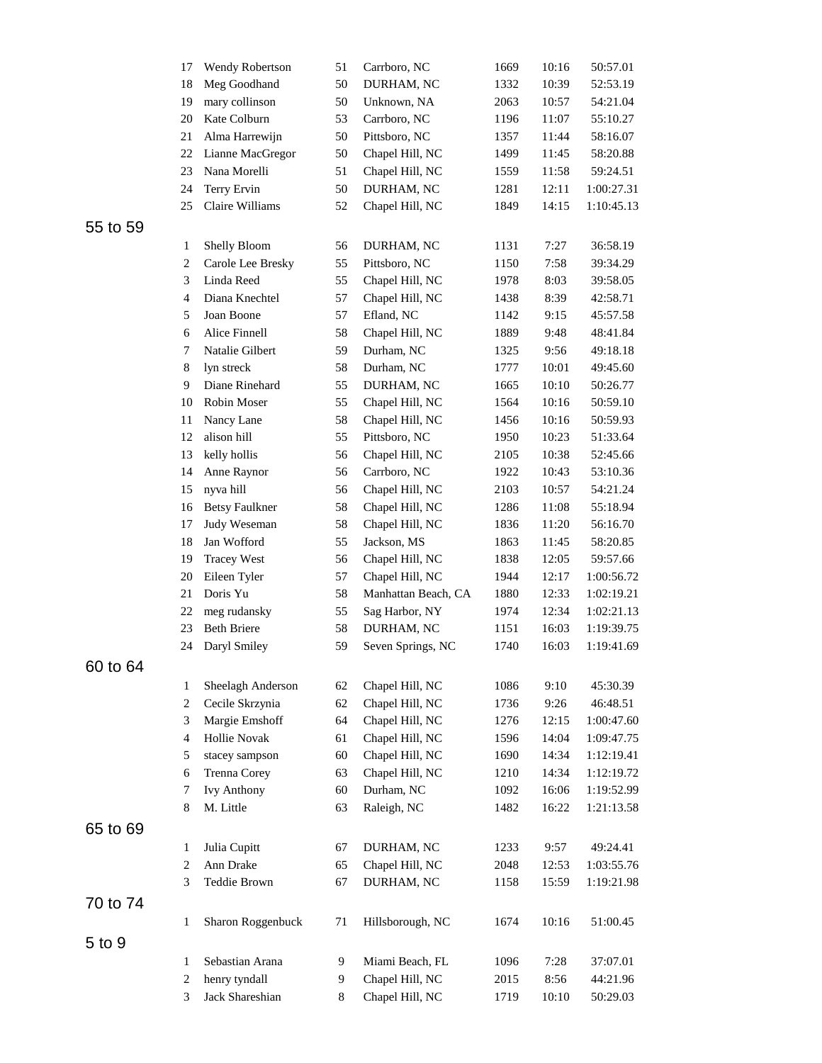|          | 17             | Wendy Robertson       | 51 | Carrboro, NC        | 1669 | 10:16 | 50:57.01   |
|----------|----------------|-----------------------|----|---------------------|------|-------|------------|
|          | 18             | Meg Goodhand          | 50 | DURHAM, NC          | 1332 | 10:39 | 52:53.19   |
|          | 19             | mary collinson        | 50 | Unknown, NA         | 2063 | 10:57 | 54:21.04   |
|          | 20             | Kate Colburn          | 53 | Carrboro, NC        | 1196 | 11:07 | 55:10.27   |
|          | 21             | Alma Harrewijn        | 50 | Pittsboro, NC       | 1357 | 11:44 | 58:16.07   |
|          | 22             | Lianne MacGregor      | 50 | Chapel Hill, NC     | 1499 | 11:45 | 58:20.88   |
|          | 23             | Nana Morelli          | 51 | Chapel Hill, NC     | 1559 | 11:58 | 59:24.51   |
|          | 24             | Terry Ervin           | 50 | DURHAM, NC          | 1281 | 12:11 | 1:00:27.31 |
|          | 25             | Claire Williams       | 52 | Chapel Hill, NC     | 1849 | 14:15 | 1:10:45.13 |
| 55 to 59 |                |                       |    |                     |      |       |            |
|          | 1              | Shelly Bloom          | 56 | DURHAM, NC          | 1131 | 7:27  | 36:58.19   |
|          | $\overline{c}$ | Carole Lee Bresky     | 55 | Pittsboro, NC       | 1150 | 7:58  | 39:34.29   |
|          | 3              | Linda Reed            | 55 | Chapel Hill, NC     | 1978 | 8:03  | 39:58.05   |
|          | $\overline{4}$ | Diana Knechtel        | 57 | Chapel Hill, NC     | 1438 | 8:39  | 42:58.71   |
|          | 5              | Joan Boone            | 57 | Efland, NC          | 1142 | 9:15  | 45:57.58   |
|          | 6              | Alice Finnell         | 58 | Chapel Hill, NC     | 1889 | 9:48  | 48:41.84   |
|          | 7              | Natalie Gilbert       | 59 | Durham, NC          | 1325 | 9:56  | 49:18.18   |
|          | 8              | lyn streck            | 58 | Durham, NC          | 1777 | 10:01 | 49:45.60   |
|          | 9              | Diane Rinehard        | 55 | DURHAM, NC          | 1665 | 10:10 | 50:26.77   |
|          | 10             | Robin Moser           | 55 | Chapel Hill, NC     | 1564 | 10:16 | 50:59.10   |
|          | 11             | Nancy Lane            | 58 | Chapel Hill, NC     | 1456 | 10:16 | 50:59.93   |
|          | 12             | alison hill           | 55 | Pittsboro, NC       | 1950 | 10:23 | 51:33.64   |
|          | 13             | kelly hollis          | 56 | Chapel Hill, NC     | 2105 |       | 52:45.66   |
|          |                |                       |    |                     |      | 10:38 |            |
|          | 14             | Anne Raynor           | 56 | Carrboro, NC        | 1922 | 10:43 | 53:10.36   |
|          | 15             | nyva hill             | 56 | Chapel Hill, NC     | 2103 | 10:57 | 54:21.24   |
|          | 16             | <b>Betsy Faulkner</b> | 58 | Chapel Hill, NC     | 1286 | 11:08 | 55:18.94   |
|          | 17             | Judy Weseman          | 58 | Chapel Hill, NC     | 1836 | 11:20 | 56:16.70   |
|          | 18             | Jan Wofford           | 55 | Jackson, MS         | 1863 | 11:45 | 58:20.85   |
|          | 19             | <b>Tracey West</b>    | 56 | Chapel Hill, NC     | 1838 | 12:05 | 59:57.66   |
|          | 20             | Eileen Tyler          | 57 | Chapel Hill, NC     | 1944 | 12:17 | 1:00:56.72 |
|          | 21             | Doris Yu              | 58 | Manhattan Beach, CA | 1880 | 12:33 | 1:02:19.21 |
|          | 22             | meg rudansky          | 55 | Sag Harbor, NY      | 1974 | 12:34 | 1:02:21.13 |
|          | 23             | <b>Beth Briere</b>    | 58 | DURHAM, NC          | 1151 | 16:03 | 1:19:39.75 |
|          | 24             | Daryl Smiley          | 59 | Seven Springs, NC   | 1740 | 16:03 | 1:19:41.69 |
| 60 to 64 |                |                       |    |                     |      |       |            |
|          | 1              | Sheelagh Anderson     | 62 | Chapel Hill, NC     | 1086 | 9:10  | 45:30.39   |
|          | 2              | Cecile Skrzynia       | 62 | Chapel Hill, NC     | 1736 | 9:26  | 46:48.51   |
|          | 3              | Margie Emshoff        | 64 | Chapel Hill, NC     | 1276 | 12:15 | 1:00:47.60 |
|          | $\overline{4}$ | Hollie Novak          | 61 | Chapel Hill, NC     | 1596 | 14:04 | 1:09:47.75 |
|          | 5              | stacey sampson        | 60 | Chapel Hill, NC     | 1690 | 14:34 | 1:12:19.41 |
|          | 6              | Trenna Corey          | 63 | Chapel Hill, NC     | 1210 | 14:34 | 1:12:19.72 |
|          | 7              | <b>Ivy Anthony</b>    | 60 | Durham, NC          | 1092 | 16:06 | 1:19:52.99 |
|          | 8              | M. Little             | 63 | Raleigh, NC         | 1482 | 16:22 | 1:21:13.58 |
| 65 to 69 |                |                       |    |                     |      |       |            |
|          | $\mathbf{1}$   | Julia Cupitt          | 67 | DURHAM, NC          | 1233 | 9:57  | 49:24.41   |
|          | $\sqrt{2}$     | Ann Drake             | 65 | Chapel Hill, NC     | 2048 | 12:53 | 1:03:55.76 |
|          | 3              | Teddie Brown          | 67 | DURHAM, NC          | 1158 | 15:59 | 1:19:21.98 |
| 70 to 74 |                |                       |    |                     |      |       |            |
|          |                |                       |    |                     |      |       |            |
|          | 1              | Sharon Roggenbuck     | 71 | Hillsborough, NC    | 1674 | 10:16 | 51:00.45   |
| 5 to 9   |                |                       |    |                     |      |       |            |
|          | 1              | Sebastian Arana       | 9  | Miami Beach, FL     | 1096 | 7:28  | 37:07.01   |
|          | $\overline{c}$ | henry tyndall         | 9  | Chapel Hill, NC     | 2015 | 8:56  | 44:21.96   |
|          | 3              | Jack Shareshian       | 8  | Chapel Hill, NC     | 1719 | 10:10 | 50:29.03   |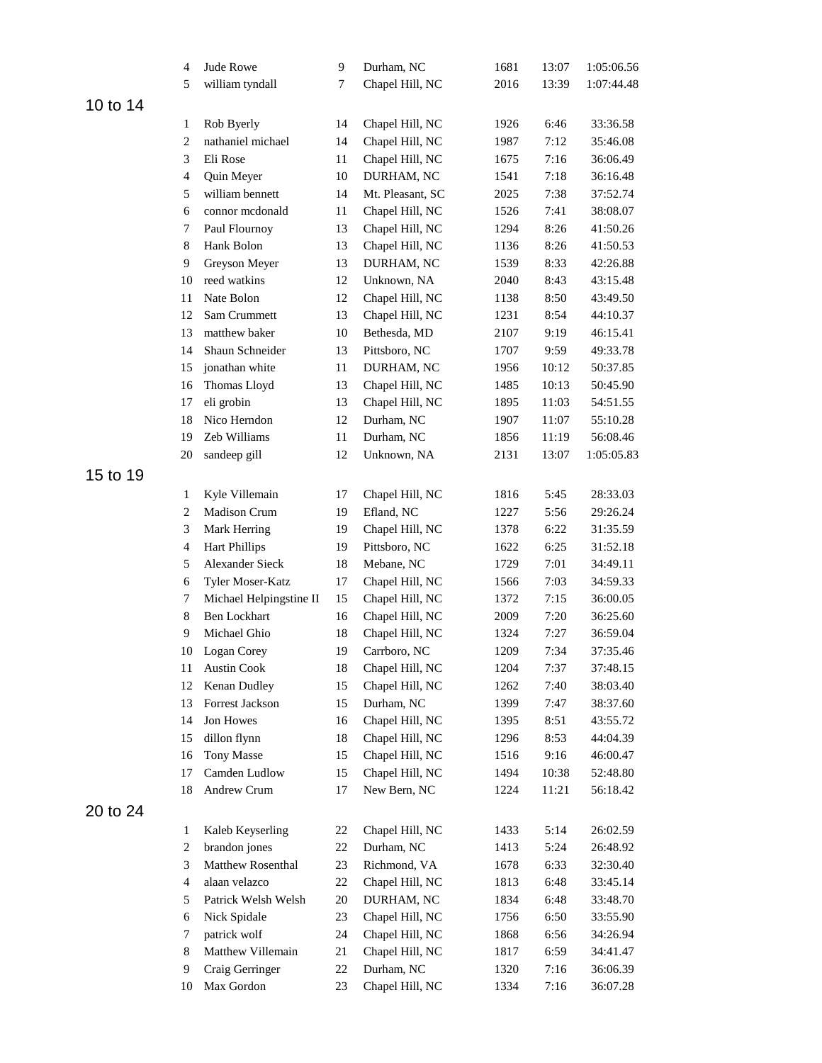|    | $\overline{4}$           | Jude Rowe               | 9      | Durham, NC       | 1681 | 13:07 | 1:05:06.56 |
|----|--------------------------|-------------------------|--------|------------------|------|-------|------------|
|    | 5                        | william tyndall         | 7      | Chapel Hill, NC  | 2016 | 13:39 | 1:07:44.48 |
| 14 |                          |                         |        |                  |      |       |            |
|    | 1                        | Rob Byerly              | 14     | Chapel Hill, NC  | 1926 | 6:46  | 33:36.58   |
|    | $\overline{c}$           | nathaniel michael       | 14     | Chapel Hill, NC  | 1987 | 7:12  | 35:46.08   |
|    | 3                        | Eli Rose                | 11     | Chapel Hill, NC  | 1675 | 7:16  | 36:06.49   |
|    | $\overline{\mathcal{A}}$ | Quin Meyer              | 10     | DURHAM, NC       | 1541 | 7:18  | 36:16.48   |
|    | 5                        | william bennett         | 14     | Mt. Pleasant, SC | 2025 | 7:38  | 37:52.74   |
|    | 6                        | connor mcdonald         | 11     | Chapel Hill, NC  | 1526 | 7:41  | 38:08.07   |
|    | 7                        | Paul Flournoy           | 13     | Chapel Hill, NC  | 1294 | 8:26  | 41:50.26   |
|    | 8                        | Hank Bolon              | 13     | Chapel Hill, NC  | 1136 | 8:26  | 41:50.53   |
|    | 9                        | Greyson Meyer           | 13     | DURHAM, NC       | 1539 | 8:33  | 42:26.88   |
|    | 10                       | reed watkins            | 12     | Unknown, NA      | 2040 | 8:43  | 43:15.48   |
|    | 11                       | Nate Bolon              | 12     | Chapel Hill, NC  | 1138 | 8:50  | 43:49.50   |
|    | 12                       | Sam Crummett            | 13     | Chapel Hill, NC  | 1231 | 8:54  | 44:10.37   |
|    | 13                       | matthew baker           | $10\,$ | Bethesda, MD     | 2107 | 9:19  | 46:15.41   |
|    | 14                       | Shaun Schneider         | 13     | Pittsboro, NC    | 1707 | 9:59  | 49:33.78   |
|    | 15                       | jonathan white          | 11     | DURHAM, NC       | 1956 | 10:12 | 50:37.85   |
|    | 16                       | Thomas Lloyd            | 13     | Chapel Hill, NC  | 1485 | 10:13 | 50:45.90   |
|    | 17                       | eli grobin              | 13     | Chapel Hill, NC  | 1895 | 11:03 | 54:51.55   |
|    | 18                       | Nico Herndon            | 12     | Durham, NC       | 1907 | 11:07 | 55:10.28   |
|    | 19                       | Zeb Williams            | 11     | Durham, NC       | 1856 | 11:19 | 56:08.46   |
|    | 20                       | sandeep gill            | 12     | Unknown, NA      | 2131 | 13:07 | 1:05:05.83 |
|    |                          |                         |        |                  |      |       |            |
| 19 |                          |                         |        |                  |      |       |            |
|    | 1                        | Kyle Villemain          | 17     | Chapel Hill, NC  | 1816 | 5:45  | 28:33.03   |
|    | $\overline{c}$           | Madison Crum            | 19     | Efland, NC       | 1227 | 5:56  | 29:26.24   |
|    | 3                        | Mark Herring            | 19     | Chapel Hill, NC  | 1378 | 6:22  | 31:35.59   |
|    | $\overline{\mathcal{A}}$ | <b>Hart Phillips</b>    | 19     | Pittsboro, NC    | 1622 | 6:25  | 31:52.18   |
|    | 5                        | <b>Alexander Sieck</b>  | 18     | Mebane, NC       | 1729 | 7:01  | 34:49.11   |
|    | 6                        | Tyler Moser-Katz        | 17     | Chapel Hill, NC  | 1566 | 7:03  | 34:59.33   |
|    | 7                        | Michael Helpingstine II | 15     | Chapel Hill, NC  | 1372 | 7:15  | 36:00.05   |
|    | 8                        | <b>Ben Lockhart</b>     | 16     | Chapel Hill, NC  | 2009 | 7:20  | 36:25.60   |
|    | 9                        | Michael Ghio            | 18     | Chapel Hill, NC  | 1324 | 7:27  | 36:59.04   |
|    | 10                       | Logan Corey             | 19     | Carrboro, NC     | 1209 | 7:34  | 37:35.46   |
|    | 11                       | <b>Austin Cook</b>      | 18     | Chapel Hill, NC  | 1204 | 7:37  | 37:48.15   |
|    | 12                       | Kenan Dudley            | 15     | Chapel Hill, NC  | 1262 | 7:40  | 38:03.40   |
|    | 13                       | Forrest Jackson         | 15     | Durham, NC       | 1399 | 7:47  | 38:37.60   |
|    | 14                       | Jon Howes               | 16     | Chapel Hill, NC  | 1395 | 8:51  | 43:55.72   |
|    | 15                       | dillon flynn            | 18     | Chapel Hill, NC  | 1296 | 8:53  | 44:04.39   |
|    | 16                       | <b>Tony Masse</b>       | 15     | Chapel Hill, NC  | 1516 | 9:16  | 46:00.47   |
|    | 17                       | Camden Ludlow           | 15     | Chapel Hill, NC  | 1494 | 10:38 | 52:48.80   |
|    | 18                       | Andrew Crum             | 17     | New Bern, NC     | 1224 | 11:21 | 56:18.42   |
| 24 |                          |                         |        |                  |      |       |            |
|    | $\mathbf{1}$             | Kaleb Keyserling        | 22     | Chapel Hill, NC  | 1433 | 5:14  | 26:02.59   |
|    | $\overline{c}$           | brandon jones           | 22     | Durham, NC       | 1413 | 5:24  | 26:48.92   |
|    | 3                        | Matthew Rosenthal       | 23     | Richmond, VA     | 1678 | 6:33  | 32:30.40   |
|    | $\overline{\mathcal{A}}$ | alaan velazco           | 22     | Chapel Hill, NC  | 1813 | 6:48  | 33:45.14   |
|    | 5                        | Patrick Welsh Welsh     | 20     | DURHAM, NC       | 1834 | 6:48  | 33:48.70   |
|    | 6                        | Nick Spidale            | 23     | Chapel Hill, NC  | 1756 | 6:50  | 33:55.90   |
|    | 7                        | patrick wolf            | 24     | Chapel Hill, NC  | 1868 | 6:56  | 34:26.94   |
|    | 8                        | Matthew Villemain       | 21     | Chapel Hill, NC  | 1817 | 6:59  | 34:41.47   |
|    | 9                        | Craig Gerringer         | 22     | Durham, NC       | 1320 | 7:16  | 36:06.39   |
|    | 10                       | Max Gordon              | 23     | Chapel Hill, NC  | 1334 | 7:16  | 36:07.28   |

to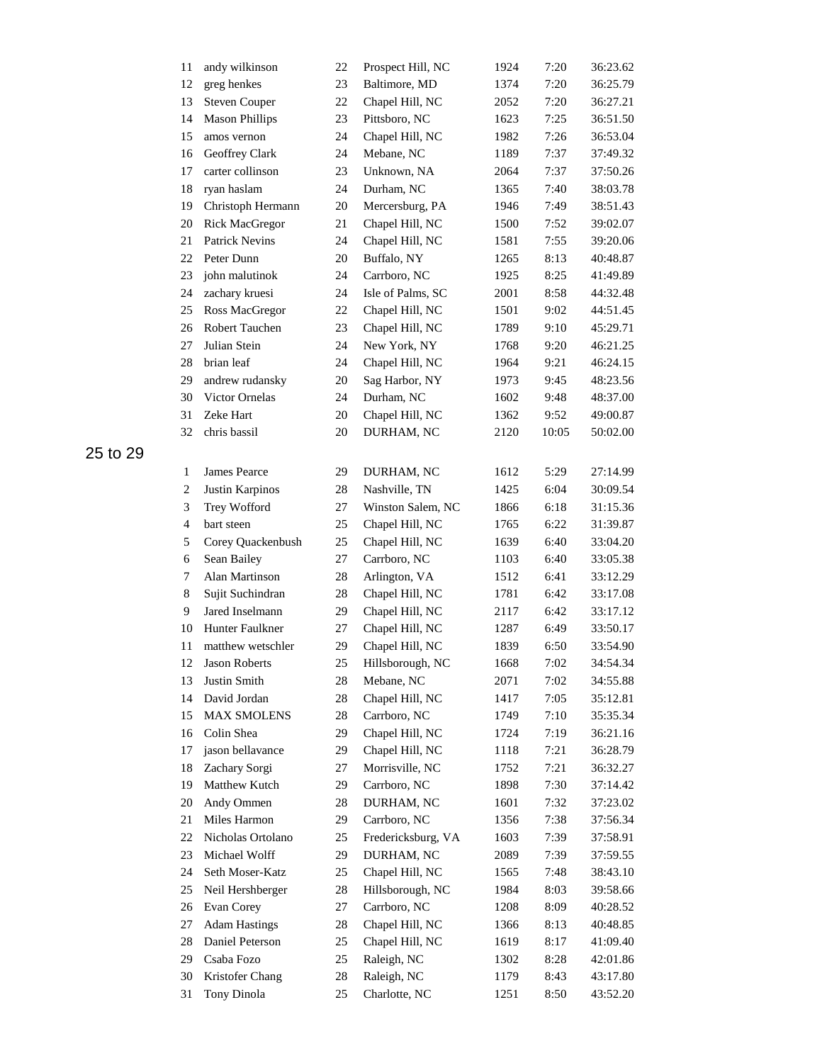| 11                       | andy wilkinson        | 22 | Prospect Hill, NC  | 1924 | 7:20  | 36:23.62 |
|--------------------------|-----------------------|----|--------------------|------|-------|----------|
| 12                       | greg henkes           | 23 | Baltimore, MD      | 1374 | 7:20  | 36:25.79 |
| 13                       | <b>Steven Couper</b>  | 22 | Chapel Hill, NC    | 2052 | 7:20  | 36:27.21 |
| 14                       | <b>Mason Phillips</b> | 23 | Pittsboro, NC      | 1623 | 7:25  | 36:51.50 |
| 15                       | amos vernon           | 24 | Chapel Hill, NC    | 1982 | 7:26  | 36:53.04 |
| 16                       | Geoffrey Clark        | 24 | Mebane, NC         | 1189 | 7:37  | 37:49.32 |
| 17                       | carter collinson      | 23 | Unknown, NA        | 2064 | 7:37  | 37:50.26 |
| 18                       | ryan haslam           | 24 | Durham, NC         | 1365 | 7:40  | 38:03.78 |
| 19                       | Christoph Hermann     | 20 | Mercersburg, PA    | 1946 | 7:49  | 38:51.43 |
| 20                       | Rick MacGregor        | 21 | Chapel Hill, NC    | 1500 | 7:52  | 39:02.07 |
| 21                       | <b>Patrick Nevins</b> | 24 | Chapel Hill, NC    | 1581 | 7:55  | 39:20.06 |
| 22                       | Peter Dunn            | 20 | Buffalo, NY        | 1265 | 8:13  | 40:48.87 |
| 23                       | john malutinok        | 24 | Carrboro, NC       | 1925 | 8:25  | 41:49.89 |
| 24                       | zachary kruesi        | 24 | Isle of Palms, SC  | 2001 | 8:58  | 44:32.48 |
| 25                       | Ross MacGregor        | 22 | Chapel Hill, NC    | 1501 | 9:02  | 44:51.45 |
| 26                       | Robert Tauchen        | 23 | Chapel Hill, NC    | 1789 | 9:10  | 45:29.71 |
| 27                       | Julian Stein          | 24 | New York, NY       | 1768 | 9:20  | 46:21.25 |
| 28                       | brian leaf            | 24 | Chapel Hill, NC    | 1964 | 9:21  | 46:24.15 |
| 29                       | andrew rudansky       | 20 | Sag Harbor, NY     | 1973 | 9:45  | 48:23.56 |
| 30                       | Victor Ornelas        | 24 | Durham, NC         | 1602 | 9:48  | 48:37.00 |
| 31                       | Zeke Hart             | 20 | Chapel Hill, NC    | 1362 | 9:52  | 49:00.87 |
| 32                       | chris bassil          | 20 | DURHAM, NC         | 2120 | 10:05 | 50:02.00 |
|                          |                       |    |                    |      |       |          |
| $\mathbf{1}$             | James Pearce          | 29 | DURHAM, NC         | 1612 | 5:29  | 27:14.99 |
| $\overline{c}$           | Justin Karpinos       | 28 | Nashville, TN      | 1425 | 6:04  | 30:09.54 |
| 3                        | Trey Wofford          | 27 | Winston Salem, NC  | 1866 | 6:18  | 31:15.36 |
| $\overline{\mathcal{L}}$ | bart steen            | 25 | Chapel Hill, NC    | 1765 | 6:22  | 31:39.87 |
| 5                        | Corey Quackenbush     | 25 | Chapel Hill, NC    | 1639 | 6:40  | 33:04.20 |
| 6                        | Sean Bailey           | 27 | Carrboro, NC       | 1103 | 6:40  | 33:05.38 |
| 7                        | Alan Martinson        | 28 | Arlington, VA      | 1512 | 6:41  | 33:12.29 |
| 8                        | Sujit Suchindran      | 28 | Chapel Hill, NC    | 1781 | 6:42  | 33:17.08 |
| 9                        | Jared Inselmann       | 29 | Chapel Hill, NC    | 2117 | 6:42  | 33:17.12 |
| 10                       | Hunter Faulkner       | 27 | Chapel Hill, NC    | 1287 | 6:49  | 33:50.17 |
| 11                       | matthew wetschler     | 29 | Chapel Hill, NC    | 1839 | 6:50  | 33:54.90 |
| 12                       | Jason Roberts         | 25 | Hillsborough, NC   | 1668 | 7:02  | 34:54.34 |
| 13                       | Justin Smith          | 28 | Mebane, NC         | 2071 | 7:02  | 34:55.88 |
| 14                       | David Jordan          | 28 | Chapel Hill, NC    | 1417 | 7:05  | 35:12.81 |
| 15                       | <b>MAX SMOLENS</b>    | 28 | Carrboro, NC       | 1749 | 7:10  | 35:35.34 |
| 16                       | Colin Shea            | 29 | Chapel Hill, NC    | 1724 | 7:19  | 36:21.16 |
| 17                       | jason bellavance      | 29 | Chapel Hill, NC    | 1118 | 7:21  | 36:28.79 |
| 18                       | Zachary Sorgi         | 27 | Morrisville, NC    | 1752 | 7:21  | 36:32.27 |
| 19                       | Matthew Kutch         | 29 | Carrboro, NC       | 1898 | 7:30  | 37:14.42 |
| 20                       | Andy Ommen            | 28 | DURHAM, NC         | 1601 | 7:32  | 37:23.02 |
| 21                       | Miles Harmon          | 29 | Carrboro, NC       | 1356 | 7:38  | 37:56.34 |
| 22                       | Nicholas Ortolano     | 25 | Fredericksburg, VA | 1603 | 7:39  | 37:58.91 |
| 23                       | Michael Wolff         | 29 | DURHAM, NC         | 2089 | 7:39  | 37:59.55 |
| 24                       | Seth Moser-Katz       | 25 | Chapel Hill, NC    | 1565 | 7:48  | 38:43.10 |
| 25                       | Neil Hershberger      | 28 | Hillsborough, NC   | 1984 | 8:03  | 39:58.66 |
| 26                       | Evan Corey            | 27 | Carrboro, NC       | 1208 | 8:09  | 40:28.52 |
| 27                       | <b>Adam Hastings</b>  | 28 | Chapel Hill, NC    | 1366 | 8:13  | 40:48.85 |
| 28                       | Daniel Peterson       | 25 | Chapel Hill, NC    | 1619 | 8:17  | 41:09.40 |
| 29                       | Csaba Fozo            | 25 | Raleigh, NC        | 1302 | 8:28  | 42:01.86 |
| 30                       | Kristofer Chang       | 28 | Raleigh, NC        | 1179 | 8:43  | 43:17.80 |
| 31                       | Tony Dinola           | 25 | Charlotte, NC      | 1251 | 8:50  | 43:52.20 |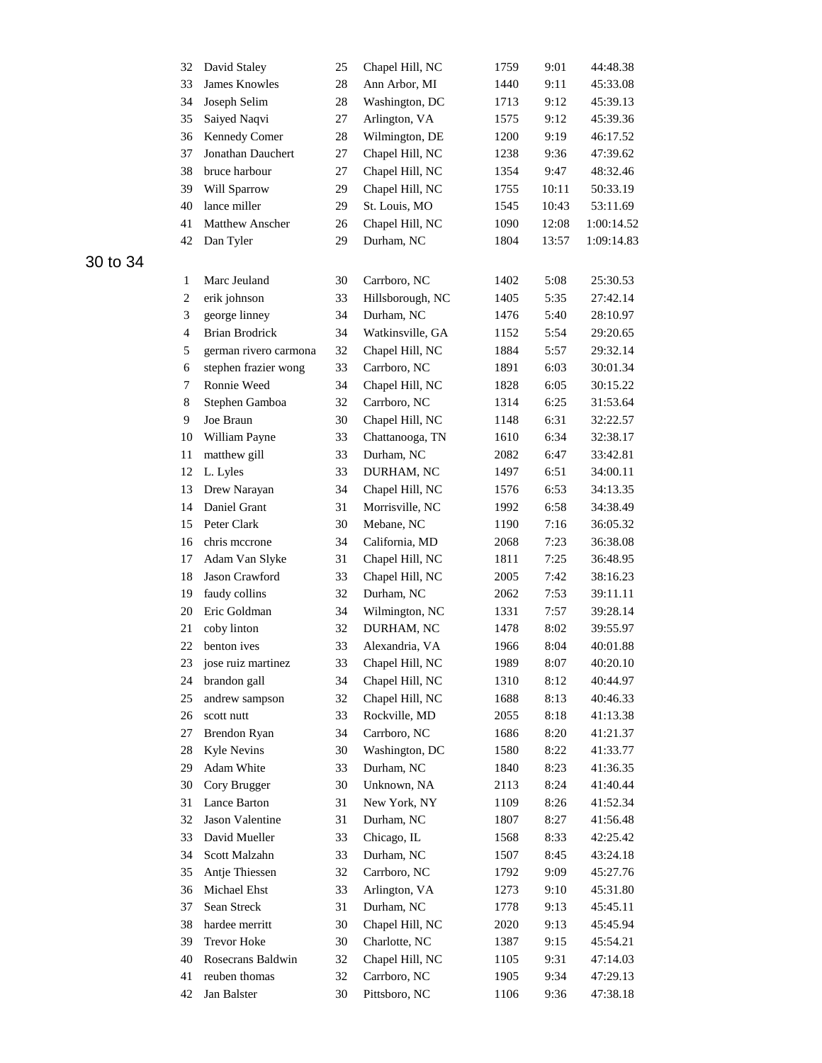| 32             | David Staley          | 25     | Chapel Hill, NC  | 1759 | 9:01  | 44:48.38   |
|----------------|-----------------------|--------|------------------|------|-------|------------|
| 33             | <b>James Knowles</b>  | 28     | Ann Arbor, MI    | 1440 | 9:11  | 45:33.08   |
| 34             | Joseph Selim          | 28     | Washington, DC   | 1713 | 9:12  | 45:39.13   |
| 35             | Saiyed Naqvi          | 27     | Arlington, VA    | 1575 | 9:12  | 45:39.36   |
| 36             | Kennedy Comer         | 28     | Wilmington, DE   | 1200 | 9:19  | 46:17.52   |
| 37             | Jonathan Dauchert     | 27     | Chapel Hill, NC  | 1238 | 9:36  | 47:39.62   |
| 38             | bruce harbour         | 27     | Chapel Hill, NC  | 1354 | 9:47  | 48:32.46   |
| 39             | Will Sparrow          | 29     | Chapel Hill, NC  | 1755 | 10:11 | 50:33.19   |
| 40             | lance miller          | 29     | St. Louis, MO    | 1545 | 10:43 | 53:11.69   |
| 41             | Matthew Anscher       | 26     | Chapel Hill, NC  | 1090 | 12:08 | 1:00:14.52 |
| 42             | Dan Tyler             | 29     | Durham, NC       | 1804 | 13:57 | 1:09:14.83 |
| 1              | Marc Jeuland          | 30     | Carrboro, NC     | 1402 | 5:08  | 25:30.53   |
| $\mathbf{2}$   | erik johnson          | 33     | Hillsborough, NC | 1405 | 5:35  | 27:42.14   |
| 3              | george linney         | 34     | Durham, NC       | 1476 | 5:40  | 28:10.97   |
| $\overline{4}$ | <b>Brian Brodrick</b> | 34     | Watkinsville, GA | 1152 | 5:54  | 29:20.65   |
| 5              | german rivero carmona | 32     | Chapel Hill, NC  | 1884 | 5:57  | 29:32.14   |
| 6              | stephen frazier wong  | 33     | Carrboro, NC     | 1891 | 6:03  | 30:01.34   |
| 7              | Ronnie Weed           | 34     | Chapel Hill, NC  | 1828 | 6:05  | 30:15.22   |
| 8              | Stephen Gamboa        | 32     | Carrboro, NC     | 1314 | 6:25  | 31:53.64   |
| 9              | Joe Braun             | 30     | Chapel Hill, NC  | 1148 | 6:31  | 32:22.57   |
| 10             | William Payne         | 33     | Chattanooga, TN  | 1610 | 6:34  | 32:38.17   |
| 11             | matthew gill          | 33     | Durham, NC       | 2082 | 6:47  | 33:42.81   |
| 12             | L. Lyles              | 33     | DURHAM, NC       | 1497 | 6:51  | 34:00.11   |
| 13             | Drew Narayan          | 34     | Chapel Hill, NC  | 1576 | 6:53  | 34:13.35   |
| 14             | Daniel Grant          | 31     | Morrisville, NC  | 1992 | 6:58  | 34:38.49   |
| 15             | Peter Clark           | 30     | Mebane, NC       | 1190 | 7:16  | 36:05.32   |
| 16             | chris mecrone         | 34     | California, MD   | 2068 | 7:23  | 36:38.08   |
| 17             | Adam Van Slyke        | 31     | Chapel Hill, NC  | 1811 | 7:25  | 36:48.95   |
| 18             | Jason Crawford        | 33     | Chapel Hill, NC  | 2005 | 7:42  | 38:16.23   |
| 19             | faudy collins         | 32     | Durham, NC       | 2062 | 7:53  | 39:11.11   |
| 20             | Eric Goldman          | 34     | Wilmington, NC   | 1331 | 7:57  | 39:28.14   |
| 21             | coby linton           | 32     | DURHAM, NC       | 1478 | 8:02  | 39:55.97   |
| 22             | benton ives           | 33     | Alexandria, VA   | 1966 | 8:04  | 40:01.88   |
| 23             | jose ruiz martinez    | 33     | Chapel Hill, NC  | 1989 | 8:07  | 40:20.10   |
| 24             | brandon gall          | 34     | Chapel Hill, NC  | 1310 | 8:12  | 40:44.97   |
| 25             | andrew sampson        | 32     | Chapel Hill, NC  | 1688 | 8:13  | 40:46.33   |
| 26             | scott nutt            | 33     | Rockville, MD    | 2055 | 8:18  | 41:13.38   |
| $27\,$         | <b>Brendon Ryan</b>   | 34     | Carrboro, NC     | 1686 | 8:20  | 41:21.37   |
| 28             | <b>Kyle Nevins</b>    | 30     | Washington, DC   | 1580 | 8:22  | 41:33.77   |
| 29             | Adam White            | 33     | Durham, NC       | 1840 | 8:23  | 41:36.35   |
| 30             | Cory Brugger          | 30     | Unknown, NA      | 2113 | 8:24  | 41:40.44   |
| 31             | Lance Barton          | 31     | New York, NY     | 1109 | 8:26  | 41:52.34   |
| 32             | Jason Valentine       | 31     | Durham, NC       | 1807 | 8:27  | 41:56.48   |
| 33             | David Mueller         | 33     | Chicago, IL      | 1568 | 8:33  | 42:25.42   |
| 34             | Scott Malzahn         | 33     | Durham, NC       | 1507 | 8:45  | 43:24.18   |
| 35             | Antje Thiessen        | 32     | Carrboro, NC     | 1792 | 9:09  | 45:27.76   |
| 36             | Michael Ehst          | 33     | Arlington, VA    | 1273 | 9:10  | 45:31.80   |
| 37             | Sean Streck           | 31     | Durham, NC       | 1778 | 9:13  | 45:45.11   |
| 38             | hardee merritt        | 30     | Chapel Hill, NC  | 2020 | 9:13  | 45:45.94   |
| 39             | Trevor Hoke           | 30     | Charlotte, NC    | 1387 | 9:15  | 45:54.21   |
| 40             | Rosecrans Baldwin     | 32     | Chapel Hill, NC  | 1105 | 9:31  | 47:14.03   |
| 41             | reuben thomas         | 32     | Carrboro, NC     | 1905 | 9:34  | 47:29.13   |
| 42             | Jan Balster           | $30\,$ | Pittsboro, NC    | 1106 | 9:36  | 47:38.18   |
|                |                       |        |                  |      |       |            |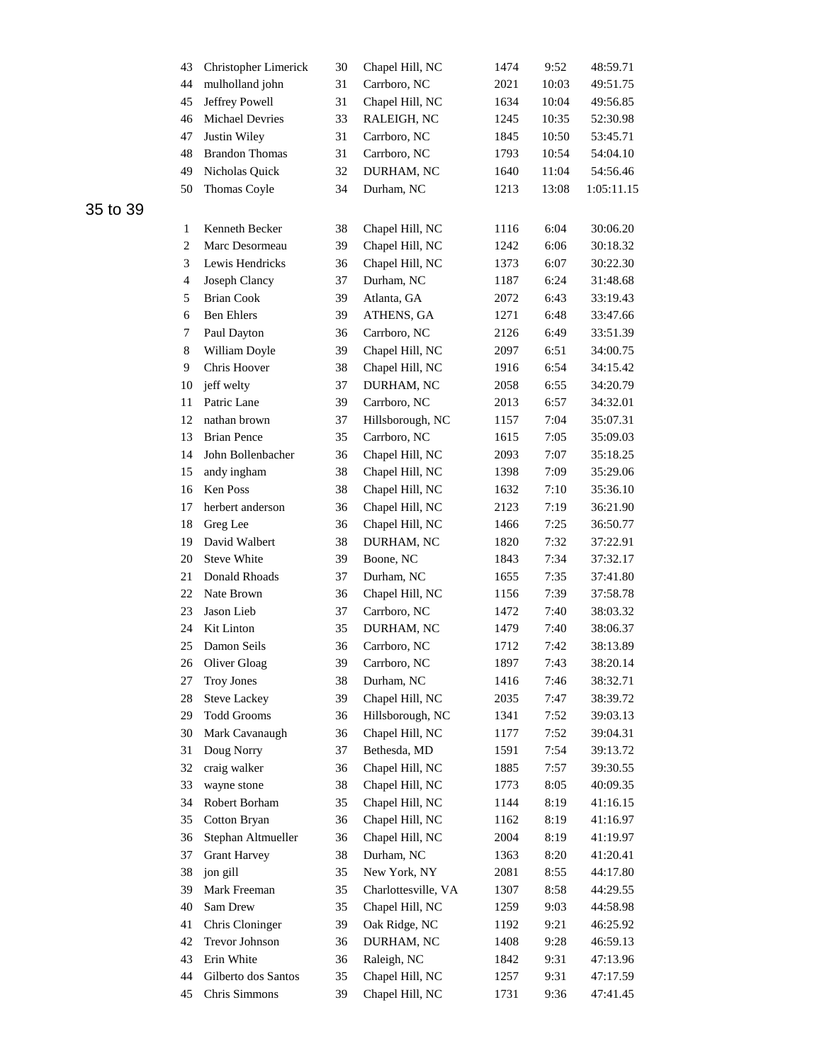| 43                      | Christopher Limerick  | 30 | Chapel Hill, NC     | 1474 | 9:52  | 48:59.71   |
|-------------------------|-----------------------|----|---------------------|------|-------|------------|
| 44                      | mulholland john       | 31 | Carrboro, NC        | 2021 | 10:03 | 49:51.75   |
| 45                      | Jeffrey Powell        | 31 | Chapel Hill, NC     | 1634 | 10:04 | 49:56.85   |
| 46                      | Michael Devries       | 33 | RALEIGH, NC         | 1245 | 10:35 | 52:30.98   |
| 47                      | Justin Wiley          | 31 | Carrboro, NC        | 1845 | 10:50 | 53:45.71   |
| 48                      | <b>Brandon Thomas</b> | 31 | Carrboro, NC        | 1793 | 10:54 | 54:04.10   |
| 49                      | Nicholas Quick        | 32 | DURHAM, NC          | 1640 | 11:04 | 54:56.46   |
| 50                      | Thomas Coyle          | 34 | Durham, NC          | 1213 | 13:08 | 1:05:11.15 |
| $\mathbf{1}$            | Kenneth Becker        | 38 | Chapel Hill, NC     | 1116 | 6:04  | 30:06.20   |
| $\mathbf{2}$            | Marc Desormeau        | 39 | Chapel Hill, NC     | 1242 | 6:06  | 30:18.32   |
| 3                       | Lewis Hendricks       | 36 | Chapel Hill, NC     | 1373 | 6:07  | 30:22.30   |
| $\overline{\mathbf{4}}$ | Joseph Clancy         | 37 | Durham, NC          | 1187 | 6:24  | 31:48.68   |
| 5                       | <b>Brian Cook</b>     | 39 | Atlanta, GA         | 2072 | 6:43  | 33:19.43   |
| 6                       | <b>Ben Ehlers</b>     | 39 | ATHENS, GA          | 1271 | 6:48  | 33:47.66   |
| 7                       | Paul Dayton           | 36 | Carrboro, NC        | 2126 | 6:49  | 33:51.39   |
| $\,8\,$                 | William Doyle         | 39 | Chapel Hill, NC     | 2097 | 6:51  | 34:00.75   |
| 9                       | Chris Hoover          | 38 | Chapel Hill, NC     | 1916 | 6:54  | 34:15.42   |
| 10                      | jeff welty            | 37 | DURHAM, NC          | 2058 | 6:55  | 34:20.79   |
| 11                      | Patric Lane           | 39 | Carrboro, NC        | 2013 | 6:57  | 34:32.01   |
| 12                      | nathan brown          | 37 | Hillsborough, NC    | 1157 | 7:04  | 35:07.31   |
| 13                      | <b>Brian Pence</b>    | 35 | Carrboro, NC        | 1615 | 7:05  | 35:09.03   |
| 14                      | John Bollenbacher     | 36 | Chapel Hill, NC     | 2093 | 7:07  | 35:18.25   |
| 15                      | andy ingham           | 38 | Chapel Hill, NC     | 1398 | 7:09  | 35:29.06   |
| 16                      | Ken Poss              | 38 | Chapel Hill, NC     | 1632 | 7:10  | 35:36.10   |
| 17                      | herbert anderson      | 36 | Chapel Hill, NC     | 2123 | 7:19  | 36:21.90   |
| 18                      | Greg Lee              | 36 | Chapel Hill, NC     | 1466 | 7:25  | 36:50.77   |
| 19                      | David Walbert         | 38 | DURHAM, NC          | 1820 | 7:32  | 37:22.91   |
| 20                      | <b>Steve White</b>    | 39 | Boone, NC           | 1843 | 7:34  | 37:32.17   |
| 21                      | Donald Rhoads         | 37 | Durham, NC          | 1655 | 7:35  | 37:41.80   |
| 22                      | Nate Brown            | 36 | Chapel Hill, NC     | 1156 | 7:39  | 37:58.78   |
| 23                      | Jason Lieb            | 37 | Carrboro, NC        | 1472 | 7:40  | 38:03.32   |
| 24                      | Kit Linton            | 35 | DURHAM, NC          | 1479 | 7:40  | 38:06.37   |
| 25                      | Damon Seils           | 36 | Carrboro, NC        | 1712 | 7:42  | 38:13.89   |
| 26                      | Oliver Gloag          | 39 | Carrboro, NC        | 1897 | 7:43  | 38:20.14   |
| 27                      | <b>Troy Jones</b>     | 38 | Durham, NC          | 1416 | 7:46  | 38:32.71   |
| 28                      | <b>Steve Lackey</b>   | 39 | Chapel Hill, NC     | 2035 | 7:47  | 38:39.72   |
| 29                      | <b>Todd Grooms</b>    | 36 | Hillsborough, NC    | 1341 | 7:52  | 39:03.13   |
| 30                      | Mark Cavanaugh        | 36 | Chapel Hill, NC     | 1177 | 7:52  | 39:04.31   |
| 31                      | Doug Norry            | 37 | Bethesda, MD        | 1591 | 7:54  | 39:13.72   |
| 32                      | craig walker          | 36 | Chapel Hill, NC     | 1885 | 7:57  | 39:30.55   |
| 33                      | wayne stone           | 38 | Chapel Hill, NC     | 1773 | 8:05  | 40:09.35   |
| 34                      | Robert Borham         | 35 | Chapel Hill, NC     | 1144 | 8:19  | 41:16.15   |
| 35                      | Cotton Bryan          | 36 | Chapel Hill, NC     | 1162 | 8:19  | 41:16.97   |
| 36                      | Stephan Altmueller    | 36 | Chapel Hill, NC     | 2004 | 8:19  | 41:19.97   |
| 37                      | <b>Grant Harvey</b>   | 38 | Durham, NC          | 1363 | 8:20  | 41:20.41   |
| 38                      | jon gill              | 35 | New York, NY        | 2081 | 8:55  | 44:17.80   |
| 39                      | Mark Freeman          | 35 | Charlottesville, VA | 1307 | 8:58  | 44:29.55   |
| 40                      | Sam Drew              | 35 | Chapel Hill, NC     | 1259 | 9:03  | 44:58.98   |
| 41                      | Chris Cloninger       | 39 | Oak Ridge, NC       | 1192 | 9:21  | 46:25.92   |
| 42                      | Trevor Johnson        | 36 | DURHAM, NC          | 1408 | 9:28  | 46:59.13   |
| 43                      | Erin White            | 36 | Raleigh, NC         | 1842 | 9:31  | 47:13.96   |
| 44                      | Gilberto dos Santos   | 35 | Chapel Hill, NC     | 1257 | 9:31  | 47:17.59   |
| 45                      | Chris Simmons         | 39 | Chapel Hill, NC     | 1731 | 9:36  | 47:41.45   |
|                         |                       |    |                     |      |       |            |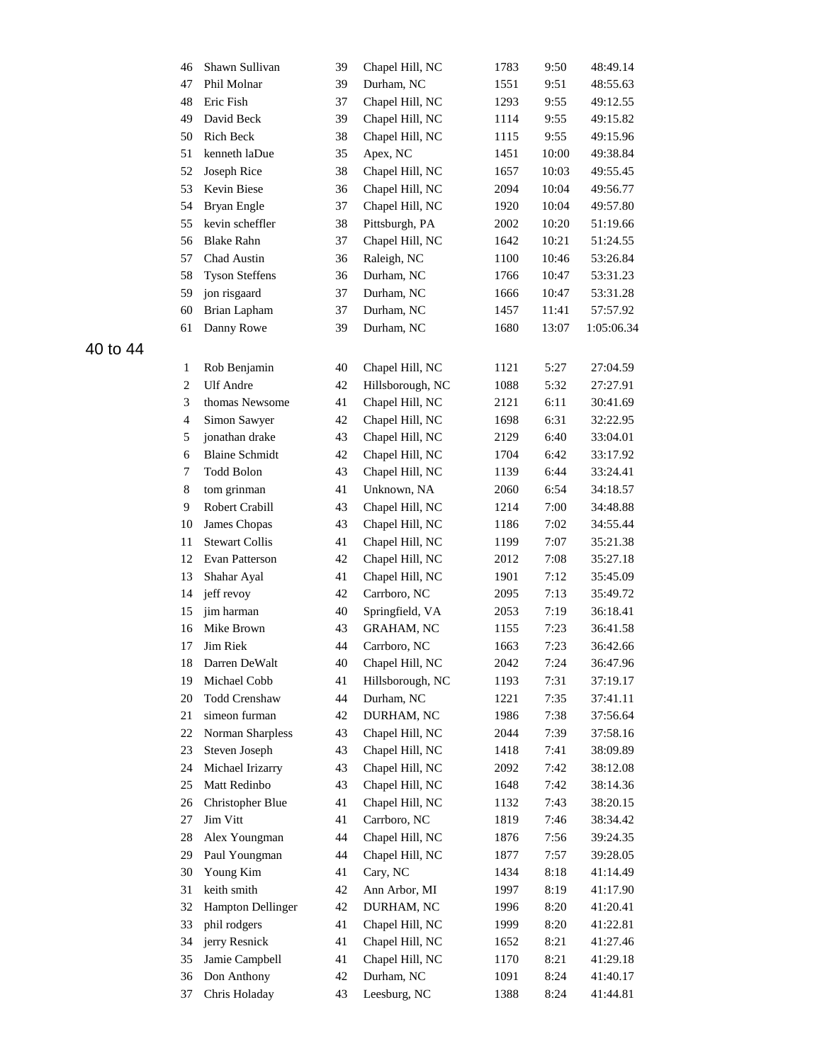| 46             | Shawn Sullivan        | 39 | Chapel Hill, NC   | 1783 | 9:50  | 48:49.14   |
|----------------|-----------------------|----|-------------------|------|-------|------------|
| 47             | Phil Molnar           | 39 | Durham, NC        | 1551 | 9:51  | 48:55.63   |
| 48             | Eric Fish             | 37 | Chapel Hill, NC   | 1293 | 9:55  | 49:12.55   |
| 49             | David Beck            | 39 | Chapel Hill, NC   | 1114 | 9:55  | 49:15.82   |
| 50             | Rich Beck             | 38 | Chapel Hill, NC   | 1115 | 9:55  | 49:15.96   |
| 51             | kenneth laDue         | 35 | Apex, NC          | 1451 | 10:00 | 49:38.84   |
| 52             | Joseph Rice           | 38 | Chapel Hill, NC   | 1657 | 10:03 | 49:55.45   |
| 53             | Kevin Biese           | 36 | Chapel Hill, NC   | 2094 | 10:04 | 49:56.77   |
| 54             | Bryan Engle           | 37 | Chapel Hill, NC   | 1920 | 10:04 | 49:57.80   |
| 55             | kevin scheffler       | 38 | Pittsburgh, PA    | 2002 | 10:20 | 51:19.66   |
| 56             | <b>Blake Rahn</b>     | 37 | Chapel Hill, NC   | 1642 | 10:21 | 51:24.55   |
| 57             | Chad Austin           | 36 | Raleigh, NC       | 1100 | 10:46 | 53:26.84   |
| 58             | <b>Tyson Steffens</b> | 36 | Durham, NC        | 1766 | 10:47 | 53:31.23   |
| 59             | jon risgaard          | 37 | Durham, NC        | 1666 | 10:47 | 53:31.28   |
| 60             | Brian Lapham          | 37 | Durham, NC        | 1457 | 11:41 | 57:57.92   |
| 61             | Danny Rowe            | 39 | Durham, NC        | 1680 | 13:07 | 1:05:06.34 |
| 1              | Rob Benjamin          | 40 | Chapel Hill, NC   | 1121 | 5:27  | 27:04.59   |
| $\overline{c}$ | <b>Ulf Andre</b>      | 42 | Hillsborough, NC  | 1088 | 5:32  | 27:27.91   |
| 3              | thomas Newsome        | 41 | Chapel Hill, NC   | 2121 | 6:11  | 30:41.69   |
| $\overline{4}$ | Simon Sawyer          | 42 | Chapel Hill, NC   | 1698 | 6:31  | 32:22.95   |
| 5              | jonathan drake        | 43 | Chapel Hill, NC   | 2129 | 6:40  | 33:04.01   |
| 6              | <b>Blaine Schmidt</b> | 42 | Chapel Hill, NC   | 1704 | 6:42  | 33:17.92   |
| 7              | Todd Bolon            | 43 | Chapel Hill, NC   | 1139 | 6:44  | 33:24.41   |
| 8              | tom grinman           | 41 | Unknown, NA       | 2060 | 6:54  | 34:18.57   |
| 9              | Robert Crabill        | 43 | Chapel Hill, NC   | 1214 | 7:00  | 34:48.88   |
| 10             | James Chopas          | 43 | Chapel Hill, NC   | 1186 | 7:02  | 34:55.44   |
| 11             | <b>Stewart Collis</b> | 41 | Chapel Hill, NC   | 1199 | 7:07  | 35:21.38   |
| 12             | Evan Patterson        | 42 | Chapel Hill, NC   | 2012 | 7:08  | 35:27.18   |
| 13             | Shahar Ayal           | 41 | Chapel Hill, NC   | 1901 | 7:12  | 35:45.09   |
| 14             | jeff revoy            | 42 | Carrboro, NC      | 2095 | 7:13  | 35:49.72   |
| 15             | jim harman            | 40 | Springfield, VA   | 2053 | 7:19  | 36:18.41   |
| 16             | Mike Brown            | 43 | <b>GRAHAM, NC</b> | 1155 | 7:23  | 36:41.58   |
| 17             | <b>Jim Riek</b>       | 44 | Carrboro, NC      | 1663 | 7:23  | 36:42.66   |
| 18             | Darren DeWalt         | 40 | Chapel Hill, NC   | 2042 | 7:24  | 36:47.96   |
| 19             | Michael Cobb          | 41 | Hillsborough, NC  | 1193 | 7:31  | 37:19.17   |
| 20             | Todd Crenshaw         | 44 | Durham, NC        | 1221 | 7:35  | 37:41.11   |
| 21             | simeon furman         | 42 | DURHAM, NC        | 1986 | 7:38  | 37:56.64   |
| 22             | Norman Sharpless      | 43 | Chapel Hill, NC   | 2044 | 7:39  | 37:58.16   |
| 23             | Steven Joseph         | 43 | Chapel Hill, NC   | 1418 | 7:41  | 38:09.89   |
| 24             | Michael Irizarry      | 43 | Chapel Hill, NC   | 2092 | 7:42  | 38:12.08   |
| 25             | Matt Redinbo          | 43 | Chapel Hill, NC   | 1648 | 7:42  | 38:14.36   |
| 26             | Christopher Blue      | 41 | Chapel Hill, NC   | 1132 | 7:43  | 38:20.15   |
| $27\,$         | Jim Vitt              | 41 | Carrboro, NC      | 1819 | 7:46  | 38:34.42   |
| 28             | Alex Youngman         | 44 | Chapel Hill, NC   | 1876 | 7:56  | 39:24.35   |
| 29             | Paul Youngman         | 44 | Chapel Hill, NC   | 1877 | 7:57  | 39:28.05   |
| $30\,$         | Young Kim             | 41 | Cary, NC          | 1434 | 8:18  | 41:14.49   |
| 31             | keith smith           | 42 | Ann Arbor, MI     | 1997 | 8:19  | 41:17.90   |
| 32             | Hampton Dellinger     | 42 | DURHAM, NC        | 1996 | 8:20  | 41:20.41   |
| 33             | phil rodgers          | 41 | Chapel Hill, NC   | 1999 | 8:20  | 41:22.81   |
| 34             | jerry Resnick         | 41 | Chapel Hill, NC   | 1652 | 8:21  | 41:27.46   |
| 35             | Jamie Campbell        | 41 | Chapel Hill, NC   | 1170 | 8:21  | 41:29.18   |
| 36             | Don Anthony           | 42 | Durham, NC        | 1091 | 8:24  | 41:40.17   |
| 37             | Chris Holaday         | 43 | Leesburg, NC      | 1388 | 8:24  | 41:44.81   |
|                |                       |    |                   |      |       |            |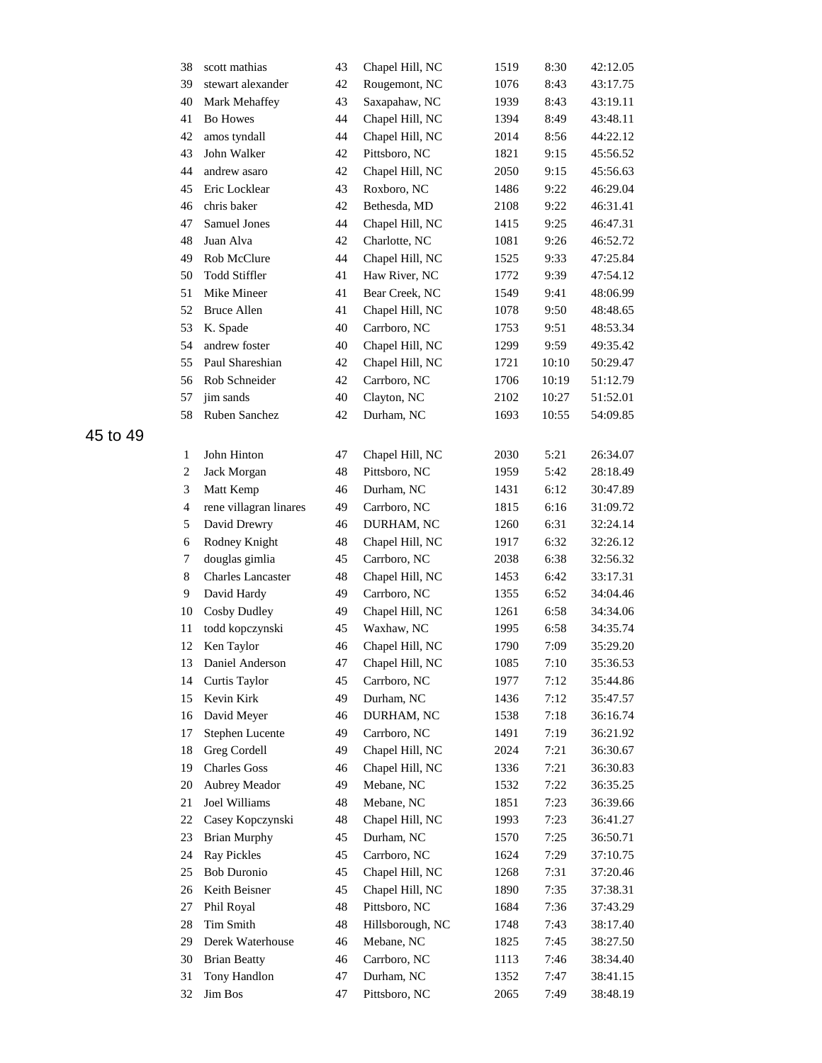| 38             | scott mathias            | 43 | Chapel Hill, NC  | 1519 | 8:30  | 42:12.05 |
|----------------|--------------------------|----|------------------|------|-------|----------|
| 39             | stewart alexander        | 42 | Rougemont, NC    | 1076 | 8:43  | 43:17.75 |
| 40             | Mark Mehaffey            | 43 | Saxapahaw, NC    | 1939 | 8:43  | 43:19.11 |
| 41             | <b>Bo Howes</b>          | 44 | Chapel Hill, NC  | 1394 | 8:49  | 43:48.11 |
| 42             | amos tyndall             | 44 | Chapel Hill, NC  | 2014 | 8:56  | 44:22.12 |
| 43             | John Walker              | 42 | Pittsboro, NC    | 1821 | 9:15  | 45:56.52 |
| 44             | andrew asaro             | 42 | Chapel Hill, NC  | 2050 | 9:15  | 45:56.63 |
| 45             | Eric Locklear            | 43 | Roxboro, NC      | 1486 | 9:22  | 46:29.04 |
| 46             | chris baker              | 42 | Bethesda, MD     | 2108 | 9:22  | 46:31.41 |
| 47             | Samuel Jones             | 44 | Chapel Hill, NC  | 1415 | 9:25  | 46:47.31 |
| 48             | Juan Alva                | 42 | Charlotte, NC    | 1081 | 9:26  | 46:52.72 |
| 49             | Rob McClure              | 44 | Chapel Hill, NC  | 1525 | 9:33  | 47:25.84 |
| 50             | <b>Todd Stiffler</b>     | 41 | Haw River, NC    | 1772 | 9:39  | 47:54.12 |
| 51             | Mike Mineer              | 41 | Bear Creek, NC   | 1549 | 9:41  | 48:06.99 |
| 52             | <b>Bruce Allen</b>       | 41 | Chapel Hill, NC  | 1078 | 9:50  | 48:48.65 |
| 53             | K. Spade                 | 40 | Carrboro, NC     | 1753 | 9:51  | 48:53.34 |
| 54             | andrew foster            | 40 | Chapel Hill, NC  | 1299 | 9:59  | 49:35.42 |
| 55             | Paul Shareshian          | 42 | Chapel Hill, NC  | 1721 | 10:10 | 50:29.47 |
| 56             | Rob Schneider            | 42 | Carrboro, NC     | 1706 | 10:19 | 51:12.79 |
| 57             | jim sands                | 40 | Clayton, NC      | 2102 | 10:27 | 51:52.01 |
| 58             | Ruben Sanchez            | 42 | Durham, NC       | 1693 | 10:55 | 54:09.85 |
|                |                          |    |                  |      |       |          |
| $\mathbf{1}$   | John Hinton              | 47 | Chapel Hill, NC  | 2030 | 5:21  | 26:34.07 |
| $\overline{c}$ | Jack Morgan              | 48 | Pittsboro, NC    | 1959 | 5:42  | 28:18.49 |
| 3              | Matt Kemp                | 46 | Durham, NC       | 1431 | 6:12  | 30:47.89 |
| $\overline{4}$ | rene villagran linares   | 49 | Carrboro, NC     | 1815 | 6:16  | 31:09.72 |
| 5              | David Drewry             | 46 | DURHAM, NC       | 1260 | 6:31  | 32:24.14 |
| 6              | Rodney Knight            | 48 | Chapel Hill, NC  | 1917 | 6:32  | 32:26.12 |
| 7              | douglas gimlia           | 45 | Carrboro, NC     | 2038 | 6:38  | 32:56.32 |
| $8\,$          | <b>Charles Lancaster</b> | 48 | Chapel Hill, NC  | 1453 | 6:42  | 33:17.31 |
| 9              | David Hardy              | 49 | Carrboro, NC     | 1355 | 6:52  | 34:04.46 |
| 10             | Cosby Dudley             | 49 | Chapel Hill, NC  | 1261 | 6:58  | 34:34.06 |
| 11             | todd kopczynski          | 45 | Waxhaw, NC       | 1995 | 6:58  | 34:35.74 |
| 12             | Ken Taylor               | 46 | Chapel Hill, NC  | 1790 | 7:09  | 35:29.20 |
|                | 13 Daniel Anderson       | 47 | Chapel Hill, NC  | 1085 | 7:10  | 35:36.53 |
| 14             | Curtis Taylor            | 45 | Carrboro, NC     | 1977 | 7:12  | 35:44.86 |
| 15             | Kevin Kirk               | 49 | Durham, NC       | 1436 | 7:12  | 35:47.57 |
| 16             | David Meyer              | 46 | DURHAM, NC       | 1538 | 7:18  | 36:16.74 |
| 17             | Stephen Lucente          | 49 | Carrboro, NC     | 1491 | 7:19  | 36:21.92 |
| 18             | Greg Cordell             | 49 | Chapel Hill, NC  | 2024 | 7:21  | 36:30.67 |
| 19             | <b>Charles Goss</b>      | 46 | Chapel Hill, NC  | 1336 | 7:21  | 36:30.83 |
| 20             | Aubrey Meador            | 49 | Mebane, NC       | 1532 | 7:22  | 36:35.25 |
| 21             | Joel Williams            | 48 | Mebane, NC       | 1851 | 7:23  | 36:39.66 |
| 22             | Casey Kopczynski         | 48 | Chapel Hill, NC  | 1993 | 7:23  | 36:41.27 |
| 23             | <b>Brian Murphy</b>      | 45 | Durham, NC       | 1570 | 7:25  | 36:50.71 |
| 24             | <b>Ray Pickles</b>       | 45 | Carrboro, NC     | 1624 | 7:29  | 37:10.75 |
| 25             | <b>Bob Duronio</b>       | 45 | Chapel Hill, NC  | 1268 | 7:31  | 37:20.46 |
| 26             | Keith Beisner            | 45 | Chapel Hill, NC  | 1890 | 7:35  | 37:38.31 |
| 27             | Phil Royal               | 48 | Pittsboro, NC    | 1684 | 7:36  | 37:43.29 |
| 28             | Tim Smith                | 48 | Hillsborough, NC | 1748 | 7:43  | 38:17.40 |
| 29             | Derek Waterhouse         | 46 | Mebane, NC       | 1825 | 7:45  | 38:27.50 |
| 30             | <b>Brian Beatty</b>      | 46 | Carrboro, NC     | 1113 | 7:46  | 38:34.40 |
| 31             | Tony Handlon             | 47 | Durham, NC       | 1352 | 7:47  | 38:41.15 |
| 32             | Jim Bos                  | 47 | Pittsboro, NC    | 2065 | 7:49  | 38:48.19 |
|                |                          |    |                  |      |       |          |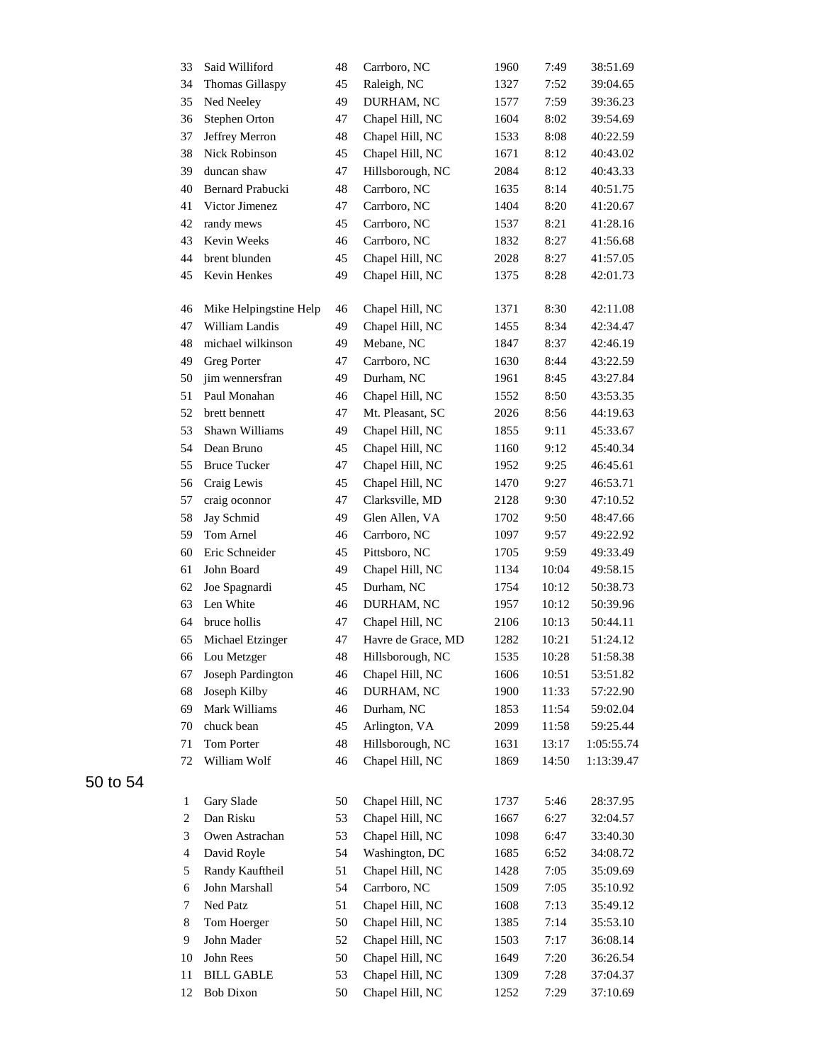| 33                          | Said Williford         | 48 | Carrboro, NC       | 1960 | 7:49  | 38:51.69   |
|-----------------------------|------------------------|----|--------------------|------|-------|------------|
| 34                          | Thomas Gillaspy        | 45 | Raleigh, NC        | 1327 | 7:52  | 39:04.65   |
| 35                          | Ned Neeley             | 49 | DURHAM, NC         | 1577 | 7:59  | 39:36.23   |
| 36                          | Stephen Orton          | 47 | Chapel Hill, NC    | 1604 | 8:02  | 39:54.69   |
| 37                          | Jeffrey Merron         | 48 | Chapel Hill, NC    | 1533 | 8:08  | 40:22.59   |
| 38                          | <b>Nick Robinson</b>   | 45 | Chapel Hill, NC    | 1671 | 8:12  | 40:43.02   |
| 39                          | duncan shaw            | 47 | Hillsborough, NC   | 2084 | 8:12  | 40:43.33   |
| 40                          | Bernard Prabucki       | 48 | Carrboro, NC       | 1635 | 8:14  | 40:51.75   |
| 41                          | Victor Jimenez         | 47 | Carrboro, NC       | 1404 | 8:20  | 41:20.67   |
| 42                          | randy mews             | 45 | Carrboro, NC       | 1537 | 8:21  | 41:28.16   |
| 43                          | Kevin Weeks            | 46 | Carrboro, NC       | 1832 | 8:27  | 41:56.68   |
| 44                          | brent blunden          | 45 | Chapel Hill, NC    | 2028 | 8:27  | 41:57.05   |
| 45                          | Kevin Henkes           | 49 | Chapel Hill, NC    | 1375 | 8:28  | 42:01.73   |
| 46                          | Mike Helpingstine Help | 46 | Chapel Hill, NC    | 1371 | 8:30  | 42:11.08   |
| 47                          | William Landis         | 49 | Chapel Hill, NC    | 1455 | 8:34  | 42:34.47   |
| 48                          | michael wilkinson      | 49 | Mebane, NC         | 1847 | 8:37  | 42:46.19   |
| 49                          | <b>Greg Porter</b>     | 47 | Carrboro, NC       | 1630 | 8:44  | 43:22.59   |
| 50                          | jim wennersfran        | 49 | Durham, NC         | 1961 | 8:45  | 43:27.84   |
| 51                          | Paul Monahan           | 46 | Chapel Hill, NC    | 1552 | 8:50  | 43:53.35   |
| 52                          | brett bennett          | 47 | Mt. Pleasant, SC   | 2026 | 8:56  | 44:19.63   |
| 53                          | Shawn Williams         | 49 | Chapel Hill, NC    | 1855 | 9:11  | 45:33.67   |
| 54                          | Dean Bruno             | 45 | Chapel Hill, NC    | 1160 | 9:12  | 45:40.34   |
| 55                          | <b>Bruce Tucker</b>    | 47 | Chapel Hill, NC    | 1952 | 9:25  | 46:45.61   |
| 56                          | Craig Lewis            | 45 | Chapel Hill, NC    | 1470 | 9:27  | 46:53.71   |
| 57                          | craig oconnor          | 47 | Clarksville, MD    | 2128 | 9:30  | 47:10.52   |
| 58                          | Jay Schmid             | 49 | Glen Allen, VA     | 1702 | 9:50  | 48:47.66   |
| 59                          | Tom Arnel              | 46 | Carrboro, NC       | 1097 | 9:57  | 49:22.92   |
| 60                          | Eric Schneider         | 45 | Pittsboro, NC      | 1705 | 9:59  | 49:33.49   |
| 61                          | John Board             | 49 | Chapel Hill, NC    | 1134 | 10:04 | 49:58.15   |
| 62                          | Joe Spagnardi          | 45 | Durham, NC         | 1754 | 10:12 | 50:38.73   |
| 63                          | Len White              | 46 | DURHAM, NC         | 1957 | 10:12 | 50:39.96   |
| 64                          | bruce hollis           | 47 | Chapel Hill, NC    | 2106 | 10:13 | 50:44.11   |
| 65                          | Michael Etzinger       | 47 | Havre de Grace, MD | 1282 | 10:21 | 51:24.12   |
| 66                          | Lou Metzger            | 48 | Hillsborough, NC   | 1535 | 10:28 | 51:58.38   |
| 67                          | Joseph Pardington      | 46 | Chapel Hill, NC    | 1606 | 10:51 | 53:51.82   |
| 68                          | Joseph Kilby           | 46 | DURHAM, NC         | 1900 | 11:33 | 57:22.90   |
| 69                          | Mark Williams          | 46 | Durham, NC         | 1853 | 11:54 | 59:02.04   |
| 70                          | chuck bean             | 45 | Arlington, VA      | 2099 | 11:58 | 59:25.44   |
| 71                          | Tom Porter             | 48 | Hillsborough, NC   | 1631 | 13:17 | 1:05:55.74 |
| 72                          | William Wolf           | 46 | Chapel Hill, NC    | 1869 | 14:50 | 1:13:39.47 |
| $\mathbf{1}$                | Gary Slade             | 50 | Chapel Hill, NC    | 1737 | 5:46  | 28:37.95   |
| $\overline{c}$              | Dan Risku              | 53 | Chapel Hill, NC    | 1667 | 6:27  | 32:04.57   |
| $\ensuremath{\mathfrak{Z}}$ | Owen Astrachan         | 53 | Chapel Hill, NC    | 1098 | 6:47  | 33:40.30   |
| $\overline{4}$              | David Royle            | 54 | Washington, DC     | 1685 | 6:52  | 34:08.72   |
| 5                           | Randy Kauftheil        | 51 | Chapel Hill, NC    | 1428 | 7:05  | 35:09.69   |
| 6                           | John Marshall          | 54 | Carrboro, NC       | 1509 | 7:05  | 35:10.92   |
| 7                           | Ned Patz               | 51 | Chapel Hill, NC    | 1608 | 7:13  | 35:49.12   |
| $\,8\,$                     | Tom Hoerger            | 50 | Chapel Hill, NC    | 1385 | 7:14  | 35:53.10   |
| 9                           | John Mader             | 52 | Chapel Hill, NC    | 1503 | 7:17  | 36:08.14   |
| 10                          | John Rees              | 50 | Chapel Hill, NC    | 1649 | 7:20  | 36:26.54   |
| 11                          | <b>BILL GABLE</b>      | 53 | Chapel Hill, NC    | 1309 | 7:28  | 37:04.37   |
| 12                          | <b>Bob Dixon</b>       | 50 | Chapel Hill, NC    | 1252 | 7:29  | 37:10.69   |
|                             |                        |    |                    |      |       |            |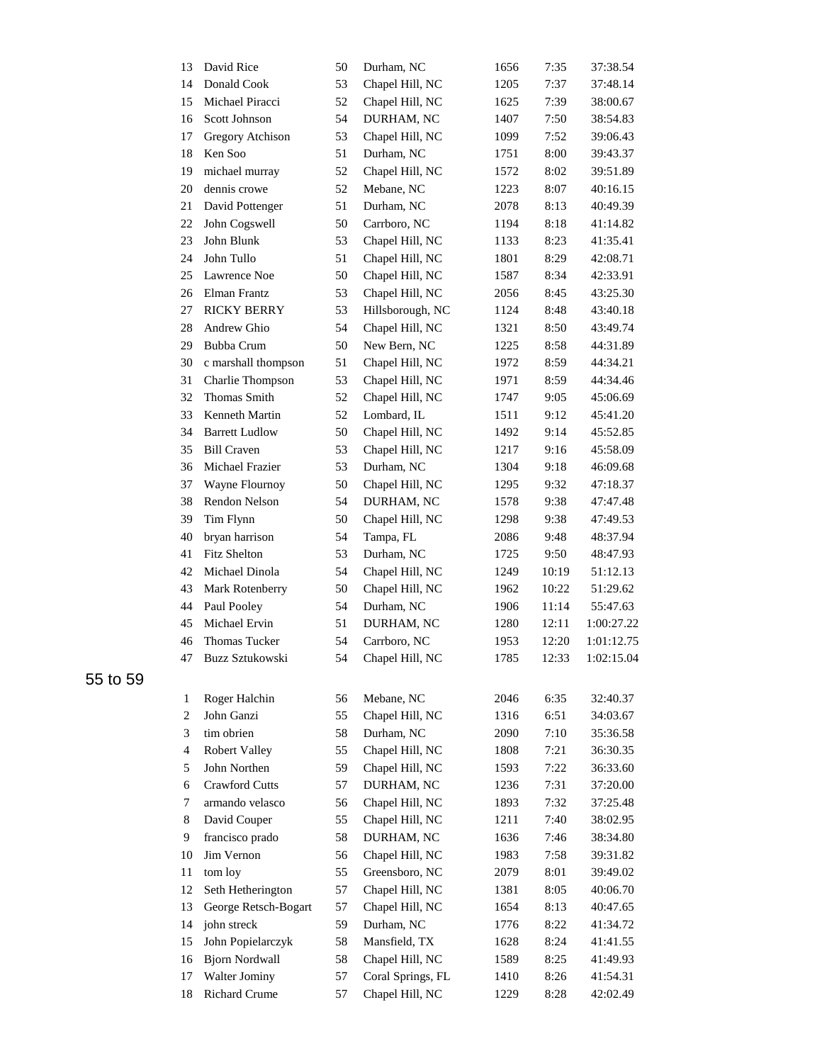| 13 | David Rice            | 50 | Durham, NC        | 1656 | 7:35  | 37:38.54   |
|----|-----------------------|----|-------------------|------|-------|------------|
| 14 | Donald Cook           | 53 | Chapel Hill, NC   | 1205 | 7:37  | 37:48.14   |
| 15 | Michael Piracci       | 52 | Chapel Hill, NC   | 1625 | 7:39  | 38:00.67   |
| 16 | Scott Johnson         | 54 | DURHAM, NC        | 1407 | 7:50  | 38:54.83   |
| 17 | Gregory Atchison      | 53 | Chapel Hill, NC   | 1099 | 7:52  | 39:06.43   |
| 18 | Ken Soo               | 51 | Durham, NC        | 1751 | 8:00  | 39:43.37   |
| 19 | michael murray        | 52 | Chapel Hill, NC   | 1572 | 8:02  | 39:51.89   |
| 20 | dennis crowe          | 52 | Mebane, NC        | 1223 | 8:07  | 40:16.15   |
| 21 | David Pottenger       | 51 | Durham, NC        | 2078 | 8:13  | 40:49.39   |
| 22 | John Cogswell         | 50 | Carrboro, NC      | 1194 | 8:18  | 41:14.82   |
| 23 | John Blunk            | 53 | Chapel Hill, NC   | 1133 | 8:23  | 41:35.41   |
| 24 | John Tullo            | 51 | Chapel Hill, NC   | 1801 | 8:29  | 42:08.71   |
| 25 | Lawrence Noe          | 50 | Chapel Hill, NC   | 1587 | 8:34  | 42:33.91   |
| 26 | Elman Frantz          | 53 | Chapel Hill, NC   | 2056 | 8:45  | 43:25.30   |
| 27 | <b>RICKY BERRY</b>    | 53 | Hillsborough, NC  | 1124 | 8:48  | 43:40.18   |
| 28 | Andrew Ghio           | 54 | Chapel Hill, NC   | 1321 | 8:50  | 43:49.74   |
| 29 | <b>Bubba Crum</b>     | 50 | New Bern, NC      | 1225 | 8:58  | 44:31.89   |
| 30 | c marshall thompson   | 51 | Chapel Hill, NC   | 1972 | 8:59  | 44:34.21   |
| 31 | Charlie Thompson      | 53 | Chapel Hill, NC   | 1971 | 8:59  | 44:34.46   |
| 32 | <b>Thomas Smith</b>   | 52 | Chapel Hill, NC   | 1747 | 9:05  | 45:06.69   |
| 33 | Kenneth Martin        | 52 | Lombard, IL       | 1511 | 9:12  | 45:41.20   |
| 34 | <b>Barrett Ludlow</b> | 50 | Chapel Hill, NC   | 1492 | 9:14  | 45:52.85   |
| 35 | <b>Bill Craven</b>    | 53 | Chapel Hill, NC   | 1217 | 9:16  | 45:58.09   |
| 36 | Michael Frazier       | 53 | Durham, NC        | 1304 | 9:18  | 46:09.68   |
| 37 | Wayne Flournoy        | 50 | Chapel Hill, NC   | 1295 | 9:32  | 47:18.37   |
| 38 | Rendon Nelson         | 54 | DURHAM, NC        | 1578 | 9:38  | 47:47.48   |
| 39 | Tim Flynn             | 50 | Chapel Hill, NC   | 1298 | 9:38  | 47:49.53   |
| 40 | bryan harrison        | 54 | Tampa, FL         | 2086 | 9:48  | 48:37.94   |
| 41 | Fitz Shelton          | 53 | Durham, NC        | 1725 | 9:50  | 48:47.93   |
| 42 | Michael Dinola        | 54 | Chapel Hill, NC   | 1249 | 10:19 | 51:12.13   |
| 43 | Mark Rotenberry       | 50 | Chapel Hill, NC   | 1962 | 10:22 | 51:29.62   |
| 44 | Paul Pooley           | 54 | Durham, NC        | 1906 | 11:14 | 55:47.63   |
| 45 | Michael Ervin         | 51 | DURHAM, NC        | 1280 | 12:11 | 1:00:27.22 |
| 46 | Thomas Tucker         | 54 | Carrboro, NC      | 1953 | 12:20 | 1:01:12.75 |
| 47 | Buzz Sztukowski       | 54 | Chapel Hill, NC   | 1785 | 12:33 | 1:02:15.04 |
| 1  | Roger Halchin         | 56 | Mebane, NC        | 2046 | 6:35  | 32:40.37   |
| 2  | John Ganzi            | 55 | Chapel Hill, NC   | 1316 | 6:51  | 34:03.67   |
| 3  | tim obrien            | 58 | Durham, NC        | 2090 | 7:10  | 35:36.58   |
| 4  | <b>Robert Valley</b>  | 55 | Chapel Hill, NC   | 1808 | 7:21  | 36:30.35   |
| 5  | John Northen          | 59 | Chapel Hill, NC   | 1593 | 7:22  | 36:33.60   |
| 6  | <b>Crawford Cutts</b> | 57 | DURHAM, NC        | 1236 | 7:31  | 37:20.00   |
| 7  | armando velasco       | 56 | Chapel Hill, NC   | 1893 | 7:32  | 37:25.48   |
| 8  | David Couper          | 55 | Chapel Hill, NC   | 1211 | 7:40  | 38:02.95   |
| 9. | francisco prado       | 58 | DURHAM, NC        | 1636 | 7:46  | 38:34.80   |
| 10 | Jim Vernon            | 56 | Chapel Hill, NC   | 1983 | 7:58  | 39:31.82   |
| 11 | tom loy               | 55 | Greensboro, NC    | 2079 | 8:01  | 39:49.02   |
| 12 | Seth Hetherington     | 57 | Chapel Hill, NC   | 1381 | 8:05  | 40:06.70   |
| 13 | George Retsch-Bogart  | 57 | Chapel Hill, NC   | 1654 | 8:13  | 40:47.65   |
| 14 | john streck           | 59 | Durham, NC        | 1776 | 8:22  | 41:34.72   |
| 15 | John Popielarczyk     | 58 | Mansfield, TX     | 1628 | 8:24  | 41:41.55   |
| 16 | <b>Bjorn Nordwall</b> | 58 | Chapel Hill, NC   | 1589 | 8:25  | 41:49.93   |
| 17 | Walter Jominy         | 57 | Coral Springs, FL | 1410 | 8:26  | 41:54.31   |
| 18 | <b>Richard Crume</b>  | 57 | Chapel Hill, NC   | 1229 | 8:28  | 42:02.49   |